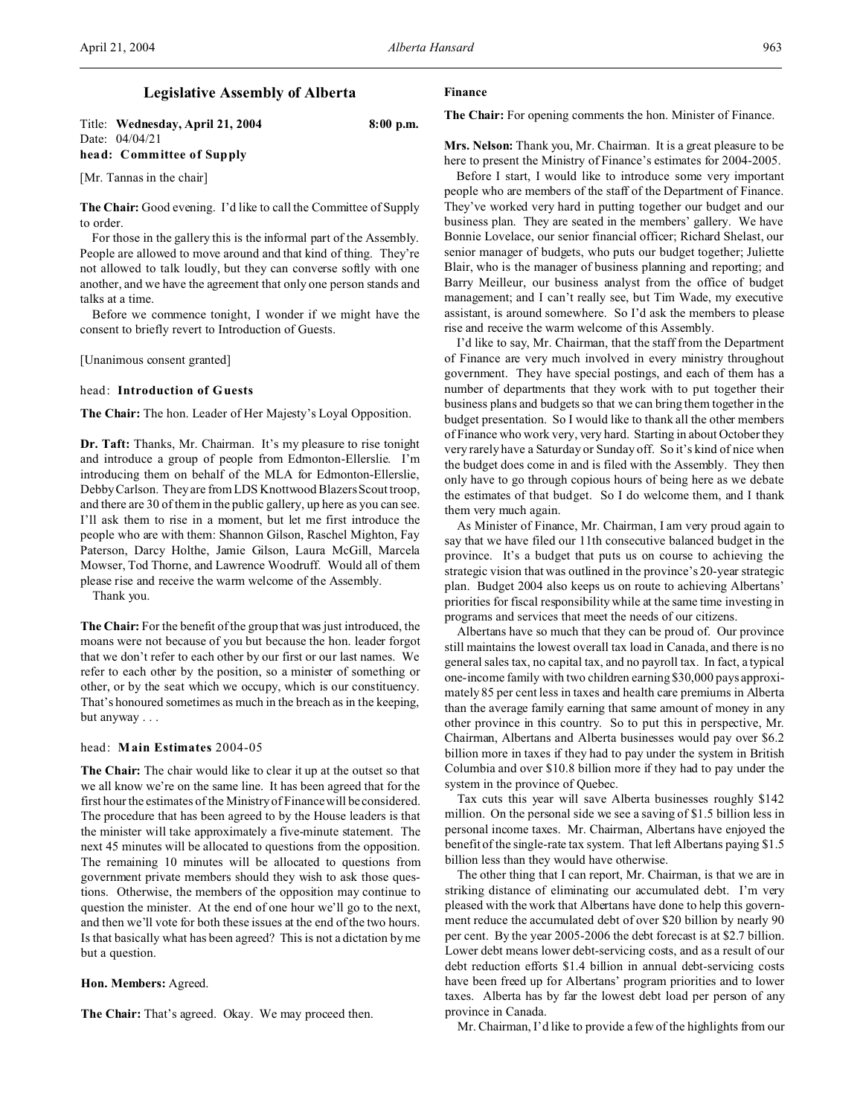# **Legislative Assembly of Alberta**

Title: **Wednesday, April 21, 2004 8:00 p.m.** Date: 04/04/21 **head: Committee of Supply**

[Mr. Tannas in the chair]

**The Chair:** Good evening. I'd like to call the Committee of Supply to order.

For those in the gallery this is the informal part of the Assembly. People are allowed to move around and that kind of thing. They're not allowed to talk loudly, but they can converse softly with one another, and we have the agreement that only one person stands and talks at a time.

Before we commence tonight, I wonder if we might have the consent to briefly revert to Introduction of Guests.

[Unanimous consent granted]

#### head: **Introduction of Guests**

**The Chair:** The hon. Leader of Her Majesty's Loyal Opposition.

**Dr. Taft:** Thanks, Mr. Chairman. It's my pleasure to rise tonight and introduce a group of people from Edmonton-Ellerslie. I'm introducing them on behalf of the MLA for Edmonton-Ellerslie, Debby Carlson. They are from LDS Knottwood Blazers Scout troop, and there are 30 of them in the public gallery, up here as you can see. I'll ask them to rise in a moment, but let me first introduce the people who are with them: Shannon Gilson, Raschel Mighton, Fay Paterson, Darcy Holthe, Jamie Gilson, Laura McGill, Marcela Mowser, Tod Thorne, and Lawrence Woodruff. Would all of them please rise and receive the warm welcome of the Assembly.

Thank you.

**The Chair:** For the benefit of the group that was just introduced, the moans were not because of you but because the hon. leader forgot that we don't refer to each other by our first or our last names. We refer to each other by the position, so a minister of something or other, or by the seat which we occupy, which is our constituency. That's honoured sometimes as much in the breach as in the keeping, but anyway . . .

# head: **Main Estimates** 2004-05

**The Chair:** The chair would like to clear it up at the outset so that we all know we're on the same line. It has been agreed that for the first hour the estimates of the Ministry of Finance will be considered. The procedure that has been agreed to by the House leaders is that the minister will take approximately a five-minute statement. The next 45 minutes will be allocated to questions from the opposition. The remaining 10 minutes will be allocated to questions from government private members should they wish to ask those questions. Otherwise, the members of the opposition may continue to question the minister. At the end of one hour we'll go to the next, and then we'll vote for both these issues at the end of the two hours. Is that basically what has been agreed? This is not a dictation by me but a question.

#### **Hon. Members:** Agreed.

**The Chair:** That's agreed. Okay. We may proceed then.

# **Finance**

**The Chair:** For opening comments the hon. Minister of Finance.

**Mrs. Nelson:** Thank you, Mr. Chairman. It is a great pleasure to be here to present the Ministry of Finance's estimates for 2004-2005.

Before I start, I would like to introduce some very important people who are members of the staff of the Department of Finance. They've worked very hard in putting together our budget and our business plan. They are seated in the members' gallery. We have Bonnie Lovelace, our senior financial officer; Richard Shelast, our senior manager of budgets, who puts our budget together; Juliette Blair, who is the manager of business planning and reporting; and Barry Meilleur, our business analyst from the office of budget management; and I can't really see, but Tim Wade, my executive assistant, is around somewhere. So I'd ask the members to please rise and receive the warm welcome of this Assembly.

I'd like to say, Mr. Chairman, that the staff from the Department of Finance are very much involved in every ministry throughout government. They have special postings, and each of them has a number of departments that they work with to put together their business plans and budgets so that we can bring them together in the budget presentation. So I would like to thank all the other members of Finance who work very, very hard. Starting in about October they very rarely have a Saturday or Sunday off. So it's kind of nice when the budget does come in and is filed with the Assembly. They then only have to go through copious hours of being here as we debate the estimates of that budget. So I do welcome them, and I thank them very much again.

As Minister of Finance, Mr. Chairman, I am very proud again to say that we have filed our 11th consecutive balanced budget in the province. It's a budget that puts us on course to achieving the strategic vision that was outlined in the province's 20-year strategic plan. Budget 2004 also keeps us on route to achieving Albertans' priorities for fiscal responsibility while at the same time investing in programs and services that meet the needs of our citizens.

Albertans have so much that they can be proud of. Our province still maintains the lowest overall tax load in Canada, and there is no general sales tax, no capital tax, and no payroll tax. In fact, a typical one-income family with two children earning \$30,000 pays approximately 85 per cent less in taxes and health care premiums in Alberta than the average family earning that same amount of money in any other province in this country. So to put this in perspective, Mr. Chairman, Albertans and Alberta businesses would pay over \$6.2 billion more in taxes if they had to pay under the system in British Columbia and over \$10.8 billion more if they had to pay under the system in the province of Quebec.

Tax cuts this year will save Alberta businesses roughly \$142 million. On the personal side we see a saving of \$1.5 billion less in personal income taxes. Mr. Chairman, Albertans have enjoyed the benefit of the single-rate tax system. That left Albertans paying \$1.5 billion less than they would have otherwise.

The other thing that I can report, Mr. Chairman, is that we are in striking distance of eliminating our accumulated debt. I'm very pleased with the work that Albertans have done to help this government reduce the accumulated debt of over \$20 billion by nearly 90 per cent. By the year 2005-2006 the debt forecast is at \$2.7 billion. Lower debt means lower debt-servicing costs, and as a result of our debt reduction efforts \$1.4 billion in annual debt-servicing costs have been freed up for Albertans' program priorities and to lower taxes. Alberta has by far the lowest debt load per person of any province in Canada.

Mr. Chairman, I'd like to provide a few of the highlights from our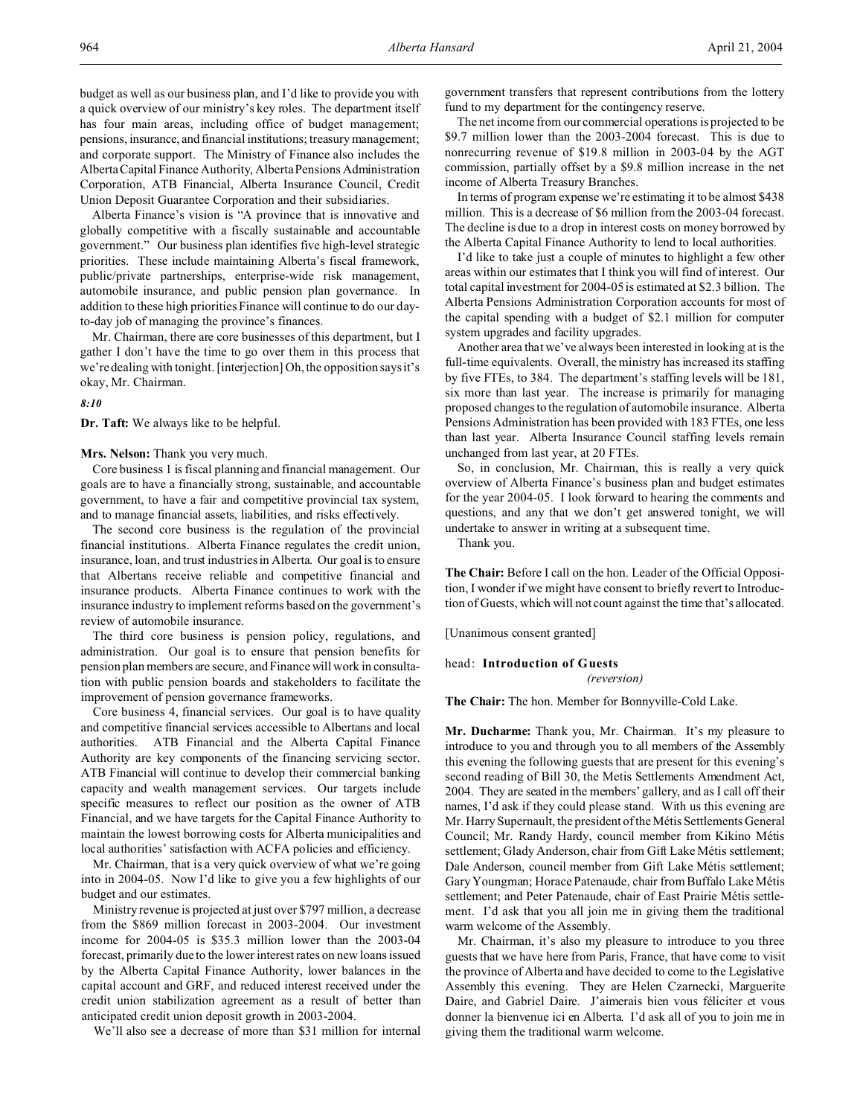budget as well as our business plan, and I'd like to provide you with a quick overview of our ministry's key roles. The department itself has four main areas, including office of budget management; pensions, insurance, and financial institutions; treasury management; and corporate support. The Ministry of Finance also includes the Alberta Capital Finance Authority, Alberta Pensions Administration Corporation, ATB Financial, Alberta Insurance Council, Credit Union Deposit Guarantee Corporation and their subsidiaries.

Alberta Finance's vision is "A province that is innovative and globally competitive with a fiscally sustainable and accountable government." Our business plan identifies five high-level strategic priorities. These include maintaining Alberta's fiscal framework, public/private partnerships, enterprise-wide risk management, automobile insurance, and public pension plan governance. In addition to these high priorities Finance will continue to do our dayto-day job of managing the province's finances.

Mr. Chairman, there are core businesses of this department, but I gather I don't have the time to go over them in this process that we're dealing with tonight. [interjection] Oh, the opposition says it's okay, Mr. Chairman.

*8:10*

**Dr. Taft:** We always like to be helpful.

**Mrs. Nelson:** Thank you very much.

Core business 1 is fiscal planning and financial management. Our goals are to have a financially strong, sustainable, and accountable government, to have a fair and competitive provincial tax system, and to manage financial assets, liabilities, and risks effectively.

The second core business is the regulation of the provincial financial institutions. Alberta Finance regulates the credit union, insurance, loan, and trust industries in Alberta. Our goal is to ensure that Albertans receive reliable and competitive financial and insurance products. Alberta Finance continues to work with the insurance industry to implement reforms based on the government's review of automobile insurance.

The third core business is pension policy, regulations, and administration. Our goal is to ensure that pension benefits for pension plan members are secure, and Finance will work in consultation with public pension boards and stakeholders to facilitate the improvement of pension governance frameworks.

Core business 4, financial services. Our goal is to have quality and competitive financial services accessible to Albertans and local authorities. ATB Financial and the Alberta Capital Finance Authority are key components of the financing servicing sector. ATB Financial will continue to develop their commercial banking capacity and wealth management services. Our targets include specific measures to reflect our position as the owner of ATB Financial, and we have targets for the Capital Finance Authority to maintain the lowest borrowing costs for Alberta municipalities and local authorities' satisfaction with ACFA policies and efficiency.

Mr. Chairman, that is a very quick overview of what we're going into in 2004-05. Now I'd like to give you a few highlights of our budget and our estimates.

Ministry revenue is projected at just over \$797 million, a decrease from the \$869 million forecast in 2003-2004. Our investment income for 2004-05 is \$35.3 million lower than the 2003-04 forecast, primarily due to the lower interest rates on new loans issued by the Alberta Capital Finance Authority, lower balances in the capital account and GRF, and reduced interest received under the credit union stabilization agreement as a result of better than anticipated credit union deposit growth in 2003-2004.

We'll also see a decrease of more than \$31 million for internal

government transfers that represent contributions from the lottery fund to my department for the contingency reserve.

The net income from our commercial operations is projected to be \$9.7 million lower than the 2003-2004 forecast. This is due to nonrecurring revenue of \$19.8 million in 2003-04 by the AGT commission, partially offset by a \$9.8 million increase in the net income of Alberta Treasury Branches.

In terms of program expense we're estimating it to be almost \$438 million. This is a decrease of \$6 million from the 2003-04 forecast. The decline is due to a drop in interest costs on money borrowed by the Alberta Capital Finance Authority to lend to local authorities.

I'd like to take just a couple of minutes to highlight a few other areas within our estimates that I think you will find of interest. Our total capital investment for 2004-05 is estimated at \$2.3 billion. The Alberta Pensions Administration Corporation accounts for most of the capital spending with a budget of \$2.1 million for computer system upgrades and facility upgrades.

Another area that we've always been interested in looking at is the full-time equivalents. Overall, the ministry has increased its staffing by five FTEs, to 384. The department's staffing levels will be 181, six more than last year. The increase is primarily for managing proposed changes to the regulation of automobile insurance. Alberta Pensions Administration has been provided with 183 FTEs, one less than last year. Alberta Insurance Council staffing levels remain unchanged from last year, at 20 FTEs.

So, in conclusion, Mr. Chairman, this is really a very quick overview of Alberta Finance's business plan and budget estimates for the year 2004-05. I look forward to hearing the comments and questions, and any that we don't get answered tonight, we will undertake to answer in writing at a subsequent time.

Thank you.

**The Chair:** Before I call on the hon. Leader of the Official Opposition, I wonder if we might have consent to briefly revert to Introduction of Guests, which will not count against the time that's allocated.

[Unanimous consent granted]

head: **Introduction of Guests**

*(reversion)*

**The Chair:** The hon. Member for Bonnyville-Cold Lake.

**Mr. Ducharme:** Thank you, Mr. Chairman. It's my pleasure to introduce to you and through you to all members of the Assembly this evening the following guests that are present for this evening's second reading of Bill 30, the Metis Settlements Amendment Act, 2004. They are seated in the members' gallery, and as I call off their names, I'd ask if they could please stand. With us this evening are Mr. Harry Supernault, the president of the Métis Settlements General Council; Mr. Randy Hardy, council member from Kikino Métis settlement; Glady Anderson, chair from Gift Lake Métis settlement; Dale Anderson, council member from Gift Lake Métis settlement; Gary Youngman; Horace Patenaude, chair from Buffalo Lake Métis settlement; and Peter Patenaude, chair of East Prairie Métis settlement. I'd ask that you all join me in giving them the traditional warm welcome of the Assembly.

Mr. Chairman, it's also my pleasure to introduce to you three guests that we have here from Paris, France, that have come to visit the province of Alberta and have decided to come to the Legislative Assembly this evening. They are Helen Czarnecki, Marguerite Daire, and Gabriel Daire. J'aimerais bien vous féliciter et vous donner la bienvenue ici en Alberta. I'd ask all of you to join me in giving them the traditional warm welcome.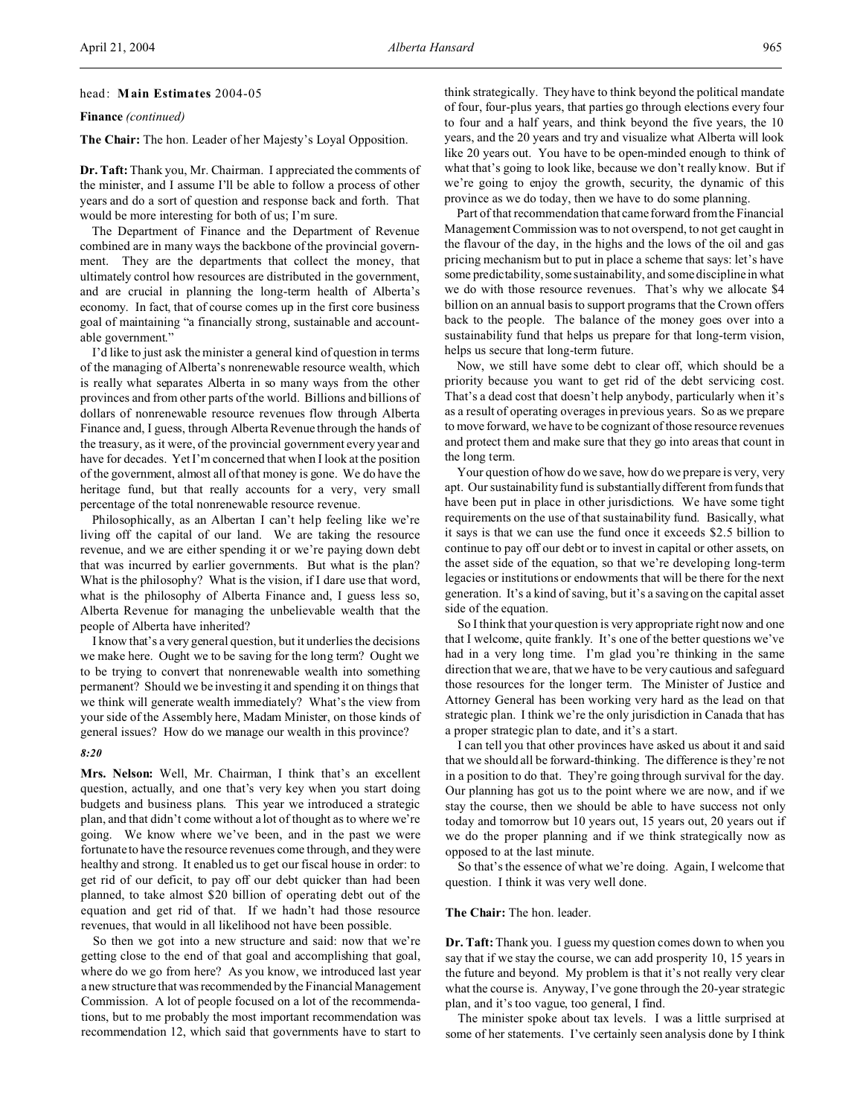# head: **Main Estimates** 2004-05

**Finance** *(continued)*

**The Chair:** The hon. Leader of her Majesty's Loyal Opposition.

**Dr. Taft:** Thank you, Mr. Chairman. I appreciated the comments of the minister, and I assume I'll be able to follow a process of other years and do a sort of question and response back and forth. That would be more interesting for both of us; I'm sure.

The Department of Finance and the Department of Revenue combined are in many ways the backbone of the provincial government. They are the departments that collect the money, that ultimately control how resources are distributed in the government, and are crucial in planning the long-term health of Alberta's economy. In fact, that of course comes up in the first core business goal of maintaining "a financially strong, sustainable and accountable government."

I'd like to just ask the minister a general kind of question in terms of the managing of Alberta's nonrenewable resource wealth, which is really what separates Alberta in so many ways from the other provinces and from other parts of the world. Billions and billions of dollars of nonrenewable resource revenues flow through Alberta Finance and, I guess, through Alberta Revenue through the hands of the treasury, as it were, of the provincial government every year and have for decades. Yet I'm concerned that when I look at the position of the government, almost all of that money is gone. We do have the heritage fund, but that really accounts for a very, very small percentage of the total nonrenewable resource revenue.

Philosophically, as an Albertan I can't help feeling like we're living off the capital of our land. We are taking the resource revenue, and we are either spending it or we're paying down debt that was incurred by earlier governments. But what is the plan? What is the philosophy? What is the vision, if I dare use that word, what is the philosophy of Alberta Finance and, I guess less so, Alberta Revenue for managing the unbelievable wealth that the people of Alberta have inherited?

I know that's a very general question, but it underlies the decisions we make here. Ought we to be saving for the long term? Ought we to be trying to convert that nonrenewable wealth into something permanent? Should we be investing it and spending it on things that we think will generate wealth immediately? What's the view from your side of the Assembly here, Madam Minister, on those kinds of general issues? How do we manage our wealth in this province?

#### *8:20*

**Mrs. Nelson:** Well, Mr. Chairman, I think that's an excellent question, actually, and one that's very key when you start doing budgets and business plans. This year we introduced a strategic plan, and that didn't come without a lot of thought as to where we're going. We know where we've been, and in the past we were fortunate to have the resource revenues come through, and they were healthy and strong. It enabled us to get our fiscal house in order: to get rid of our deficit, to pay off our debt quicker than had been planned, to take almost \$20 billion of operating debt out of the equation and get rid of that. If we hadn't had those resource revenues, that would in all likelihood not have been possible.

So then we got into a new structure and said: now that we're getting close to the end of that goal and accomplishing that goal, where do we go from here? As you know, we introduced last year a new structure that was recommended by the Financial Management Commission. A lot of people focused on a lot of the recommendations, but to me probably the most important recommendation was recommendation 12, which said that governments have to start to

think strategically. They have to think beyond the political mandate of four, four-plus years, that parties go through elections every four to four and a half years, and think beyond the five years, the 10 years, and the 20 years and try and visualize what Alberta will look like 20 years out. You have to be open-minded enough to think of what that's going to look like, because we don't really know. But if we're going to enjoy the growth, security, the dynamic of this province as we do today, then we have to do some planning.

Part of that recommendation that came forward from the Financial Management Commission was to not overspend, to not get caught in the flavour of the day, in the highs and the lows of the oil and gas pricing mechanism but to put in place a scheme that says: let's have some predictability, some sustainability, and some discipline in what we do with those resource revenues. That's why we allocate \$4 billion on an annual basis to support programs that the Crown offers back to the people. The balance of the money goes over into a sustainability fund that helps us prepare for that long-term vision, helps us secure that long-term future.

Now, we still have some debt to clear off, which should be a priority because you want to get rid of the debt servicing cost. That's a dead cost that doesn't help anybody, particularly when it's as a result of operating overages in previous years. So as we prepare to move forward, we have to be cognizant of those resource revenues and protect them and make sure that they go into areas that count in the long term.

Your question of how do we save, how do we prepare is very, very apt. Our sustainability fund is substantially different from funds that have been put in place in other jurisdictions. We have some tight requirements on the use of that sustainability fund. Basically, what it says is that we can use the fund once it exceeds \$2.5 billion to continue to pay off our debt or to invest in capital or other assets, on the asset side of the equation, so that we're developing long-term legacies or institutions or endowments that will be there for the next generation. It's a kind of saving, but it's a saving on the capital asset side of the equation.

So I think that your question is very appropriate right now and one that I welcome, quite frankly. It's one of the better questions we've had in a very long time. I'm glad you're thinking in the same direction that we are, that we have to be very cautious and safeguard those resources for the longer term. The Minister of Justice and Attorney General has been working very hard as the lead on that strategic plan. I think we're the only jurisdiction in Canada that has a proper strategic plan to date, and it's a start.

I can tell you that other provinces have asked us about it and said that we should all be forward-thinking. The difference is they're not in a position to do that. They're going through survival for the day. Our planning has got us to the point where we are now, and if we stay the course, then we should be able to have success not only today and tomorrow but 10 years out, 15 years out, 20 years out if we do the proper planning and if we think strategically now as opposed to at the last minute.

So that's the essence of what we're doing. Again, I welcome that question. I think it was very well done.

## **The Chair:** The hon. leader.

**Dr. Taft:** Thank you. I guess my question comes down to when you say that if we stay the course, we can add prosperity 10, 15 years in the future and beyond. My problem is that it's not really very clear what the course is. Anyway, I've gone through the 20-year strategic plan, and it's too vague, too general, I find.

The minister spoke about tax levels. I was a little surprised at some of her statements. I've certainly seen analysis done by I think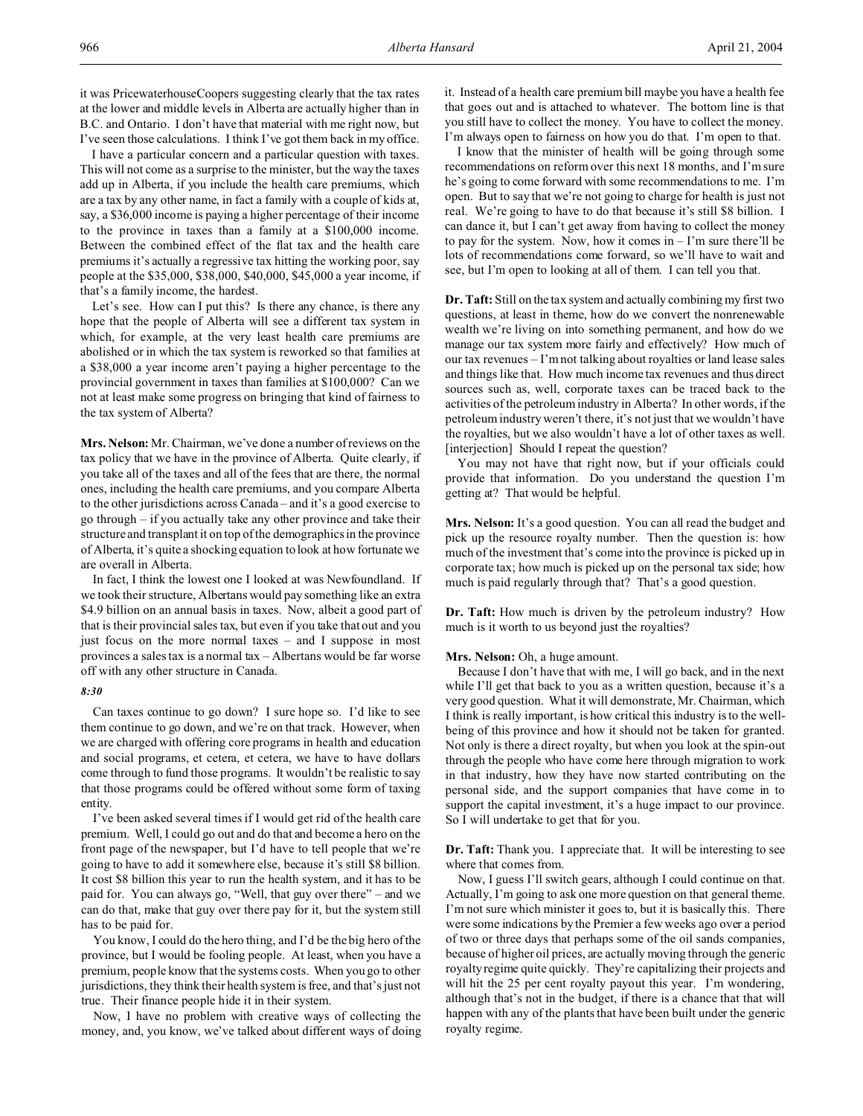it was PricewaterhouseCoopers suggesting clearly that the tax rates at the lower and middle levels in Alberta are actually higher than in B.C. and Ontario. I don't have that material with me right now, but I've seen those calculations. I think I've got them back in my office.

I have a particular concern and a particular question with taxes. This will not come as a surprise to the minister, but the way the taxes add up in Alberta, if you include the health care premiums, which are a tax by any other name, in fact a family with a couple of kids at, say, a \$36,000 income is paying a higher percentage of their income to the province in taxes than a family at a \$100,000 income. Between the combined effect of the flat tax and the health care premiums it's actually a regressive tax hitting the working poor, say people at the \$35,000, \$38,000, \$40,000, \$45,000 a year income, if that's a family income, the hardest.

Let's see. How can I put this? Is there any chance, is there any hope that the people of Alberta will see a different tax system in which, for example, at the very least health care premiums are abolished or in which the tax system is reworked so that families at a \$38,000 a year income aren't paying a higher percentage to the provincial government in taxes than families at \$100,000? Can we not at least make some progress on bringing that kind of fairness to the tax system of Alberta?

**Mrs. Nelson:** Mr. Chairman, we've done a number of reviews on the tax policy that we have in the province of Alberta. Quite clearly, if you take all of the taxes and all of the fees that are there, the normal ones, including the health care premiums, and you compare Alberta to the other jurisdictions across Canada – and it's a good exercise to go through – if you actually take any other province and take their structure and transplant it on top of the demographics in the province of Alberta, it's quite a shocking equation to look at how fortunate we are overall in Alberta.

In fact, I think the lowest one I looked at was Newfoundland. If we took their structure, Albertans would pay something like an extra \$4.9 billion on an annual basis in taxes. Now, albeit a good part of that is their provincial sales tax, but even if you take that out and you just focus on the more normal taxes – and I suppose in most provinces a sales tax is a normal tax – Albertans would be far worse off with any other structure in Canada.

#### *8:30*

Can taxes continue to go down? I sure hope so. I'd like to see them continue to go down, and we're on that track. However, when we are charged with offering core programs in health and education and social programs, et cetera, et cetera, we have to have dollars come through to fund those programs. It wouldn't be realistic to say that those programs could be offered without some form of taxing entity.

I've been asked several times if I would get rid of the health care premium. Well, I could go out and do that and become a hero on the front page of the newspaper, but I'd have to tell people that we're going to have to add it somewhere else, because it's still \$8 billion. It cost \$8 billion this year to run the health system, and it has to be paid for. You can always go, "Well, that guy over there" – and we can do that, make that guy over there pay for it, but the system still has to be paid for.

You know, I could do the hero thing, and I'd be the big hero of the province, but I would be fooling people. At least, when you have a premium, people know that the systems costs. When you go to other jurisdictions, they think their health system is free, and that's just not true. Their finance people hide it in their system.

Now, I have no problem with creative ways of collecting the money, and, you know, we've talked about different ways of doing it. Instead of a health care premium bill maybe you have a health fee that goes out and is attached to whatever. The bottom line is that you still have to collect the money. You have to collect the money. I'm always open to fairness on how you do that. I'm open to that.

I know that the minister of health will be going through some recommendations on reform over this next 18 months, and I'm sure he's going to come forward with some recommendations to me. I'm open. But to say that we're not going to charge for health is just not real. We're going to have to do that because it's still \$8 billion. I can dance it, but I can't get away from having to collect the money to pay for the system. Now, how it comes  $in - 1'm$  sure there'll be lots of recommendations come forward, so we'll have to wait and see, but I'm open to looking at all of them. I can tell you that.

**Dr. Taft:** Still on the tax system and actually combining my first two questions, at least in theme, how do we convert the nonrenewable wealth we're living on into something permanent, and how do we manage our tax system more fairly and effectively? How much of our tax revenues – I'm not talking about royalties or land lease sales and things like that. How much income tax revenues and thus direct sources such as, well, corporate taxes can be traced back to the activities of the petroleum industry in Alberta? In other words, if the petroleum industry weren't there, it's not just that we wouldn't have the royalties, but we also wouldn't have a lot of other taxes as well. [interjection] Should I repeat the question?

You may not have that right now, but if your officials could provide that information. Do you understand the question I'm getting at? That would be helpful.

**Mrs. Nelson:** It's a good question. You can all read the budget and pick up the resource royalty number. Then the question is: how much of the investment that's come into the province is picked up in corporate tax; how much is picked up on the personal tax side; how much is paid regularly through that? That's a good question.

**Dr. Taft:** How much is driven by the petroleum industry? How much is it worth to us beyond just the royalties?

#### **Mrs. Nelson:** Oh, a huge amount.

Because I don't have that with me, I will go back, and in the next while I'll get that back to you as a written question, because it's a very good question. What it will demonstrate, Mr. Chairman, which I think is really important, is how critical this industry is to the wellbeing of this province and how it should not be taken for granted. Not only is there a direct royalty, but when you look at the spin-out through the people who have come here through migration to work in that industry, how they have now started contributing on the personal side, and the support companies that have come in to support the capital investment, it's a huge impact to our province. So I will undertake to get that for you.

**Dr. Taft:** Thank you. I appreciate that. It will be interesting to see where that comes from.

Now, I guess I'll switch gears, although I could continue on that. Actually, I'm going to ask one more question on that general theme. I'm not sure which minister it goes to, but it is basically this. There were some indications by the Premier a few weeks ago over a period of two or three days that perhaps some of the oil sands companies, because of higher oil prices, are actually moving through the generic royalty regime quite quickly. They're capitalizing their projects and will hit the 25 per cent royalty payout this year. I'm wondering, although that's not in the budget, if there is a chance that that will happen with any of the plants that have been built under the generic royalty regime.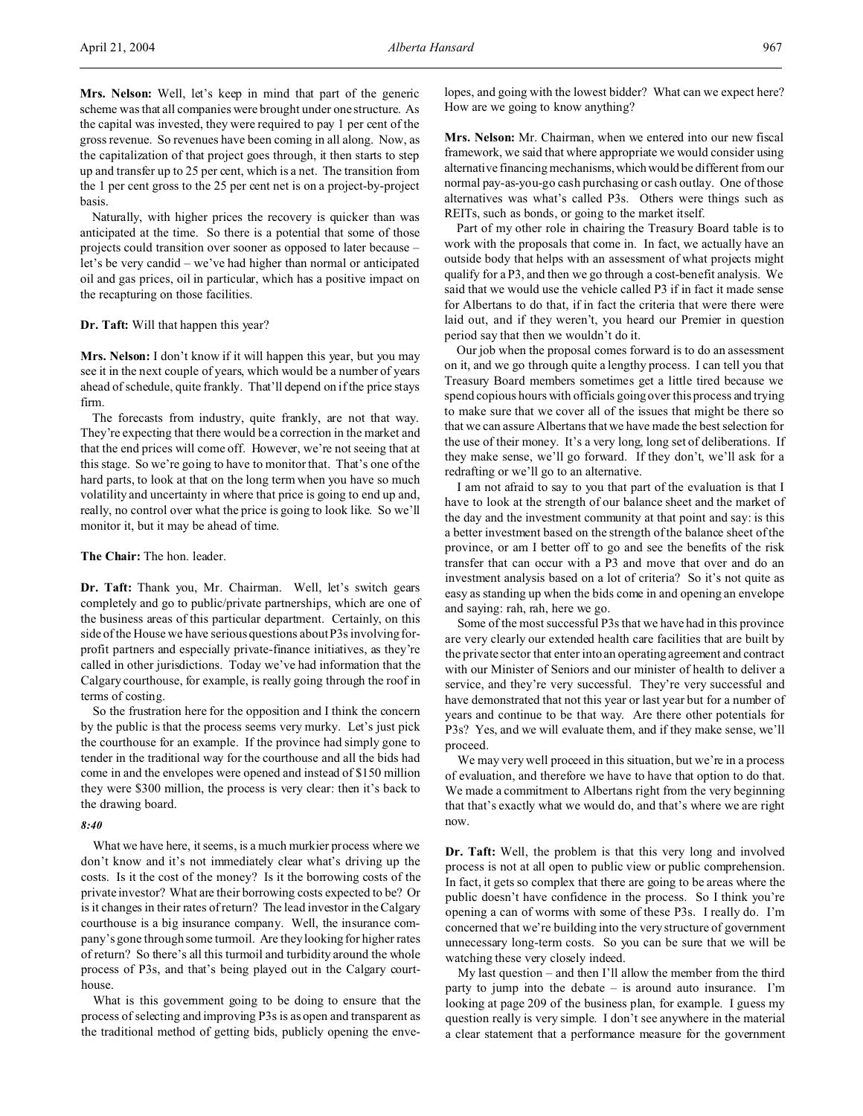**Mrs. Nelson:** Well, let's keep in mind that part of the generic scheme was that all companies were brought under one structure. As the capital was invested, they were required to pay 1 per cent of the gross revenue. So revenues have been coming in all along. Now, as the capitalization of that project goes through, it then starts to step up and transfer up to 25 per cent, which is a net. The transition from the 1 per cent gross to the 25 per cent net is on a project-by-project basis.

Naturally, with higher prices the recovery is quicker than was anticipated at the time. So there is a potential that some of those projects could transition over sooner as opposed to later because – let's be very candid – we've had higher than normal or anticipated oil and gas prices, oil in particular, which has a positive impact on the recapturing on those facilities.

#### **Dr. Taft:** Will that happen this year?

**Mrs. Nelson:** I don't know if it will happen this year, but you may see it in the next couple of years, which would be a number of years ahead of schedule, quite frankly. That'll depend on if the price stays firm.

The forecasts from industry, quite frankly, are not that way. They're expecting that there would be a correction in the market and that the end prices will come off. However, we're not seeing that at this stage. So we're going to have to monitor that. That's one of the hard parts, to look at that on the long term when you have so much volatility and uncertainty in where that price is going to end up and, really, no control over what the price is going to look like. So we'll monitor it, but it may be ahead of time.

# **The Chair:** The hon. leader.

**Dr. Taft:** Thank you, Mr. Chairman. Well, let's switch gears completely and go to public/private partnerships, which are one of the business areas of this particular department. Certainly, on this side of the House we have serious questions about P3s involving forprofit partners and especially private-finance initiatives, as they're called in other jurisdictions. Today we've had information that the Calgary courthouse, for example, is really going through the roof in terms of costing.

So the frustration here for the opposition and I think the concern by the public is that the process seems very murky. Let's just pick the courthouse for an example. If the province had simply gone to tender in the traditional way for the courthouse and all the bids had come in and the envelopes were opened and instead of \$150 million they were \$300 million, the process is very clear: then it's back to the drawing board.

## *8:40*

What we have here, it seems, is a much murkier process where we don't know and it's not immediately clear what's driving up the costs. Is it the cost of the money? Is it the borrowing costs of the private investor? What are their borrowing costs expected to be? Or is it changes in their rates of return? The lead investor in the Calgary courthouse is a big insurance company. Well, the insurance company's gone through some turmoil. Are they looking for higher rates of return? So there's all this turmoil and turbidity around the whole process of P3s, and that's being played out in the Calgary courthouse.

What is this government going to be doing to ensure that the process of selecting and improving P3s is as open and transparent as the traditional method of getting bids, publicly opening the envelopes, and going with the lowest bidder? What can we expect here? How are we going to know anything?

**Mrs. Nelson:** Mr. Chairman, when we entered into our new fiscal framework, we said that where appropriate we would consider using alternative financing mechanisms, which would be different from our normal pay-as-you-go cash purchasing or cash outlay. One of those alternatives was what's called P3s. Others were things such as REITs, such as bonds, or going to the market itself.

Part of my other role in chairing the Treasury Board table is to work with the proposals that come in. In fact, we actually have an outside body that helps with an assessment of what projects might qualify for a P3, and then we go through a cost-benefit analysis. We said that we would use the vehicle called P3 if in fact it made sense for Albertans to do that, if in fact the criteria that were there were laid out, and if they weren't, you heard our Premier in question period say that then we wouldn't do it.

Our job when the proposal comes forward is to do an assessment on it, and we go through quite a lengthy process. I can tell you that Treasury Board members sometimes get a little tired because we spend copious hours with officials going over this process and trying to make sure that we cover all of the issues that might be there so that we can assure Albertans that we have made the best selection for the use of their money. It's a very long, long set of deliberations. If they make sense, we'll go forward. If they don't, we'll ask for a redrafting or we'll go to an alternative.

I am not afraid to say to you that part of the evaluation is that I have to look at the strength of our balance sheet and the market of the day and the investment community at that point and say: is this a better investment based on the strength of the balance sheet of the province, or am I better off to go and see the benefits of the risk transfer that can occur with a P3 and move that over and do an investment analysis based on a lot of criteria? So it's not quite as easy as standing up when the bids come in and opening an envelope and saying: rah, rah, here we go.

Some of the most successful P3s that we have had in this province are very clearly our extended health care facilities that are built by the private sector that enter into an operating agreement and contract with our Minister of Seniors and our minister of health to deliver a service, and they're very successful. They're very successful and have demonstrated that not this year or last year but for a number of years and continue to be that way. Are there other potentials for P3s? Yes, and we will evaluate them, and if they make sense, we'll proceed.

We may very well proceed in this situation, but we're in a process of evaluation, and therefore we have to have that option to do that. We made a commitment to Albertans right from the very beginning that that's exactly what we would do, and that's where we are right now.

**Dr. Taft:** Well, the problem is that this very long and involved process is not at all open to public view or public comprehension. In fact, it gets so complex that there are going to be areas where the public doesn't have confidence in the process. So I think you're opening a can of worms with some of these P3s. I really do. I'm concerned that we're building into the very structure of government unnecessary long-term costs. So you can be sure that we will be watching these very closely indeed.

My last question – and then I'll allow the member from the third party to jump into the debate – is around auto insurance. I'm looking at page 209 of the business plan, for example. I guess my question really is very simple. I don't see anywhere in the material a clear statement that a performance measure for the government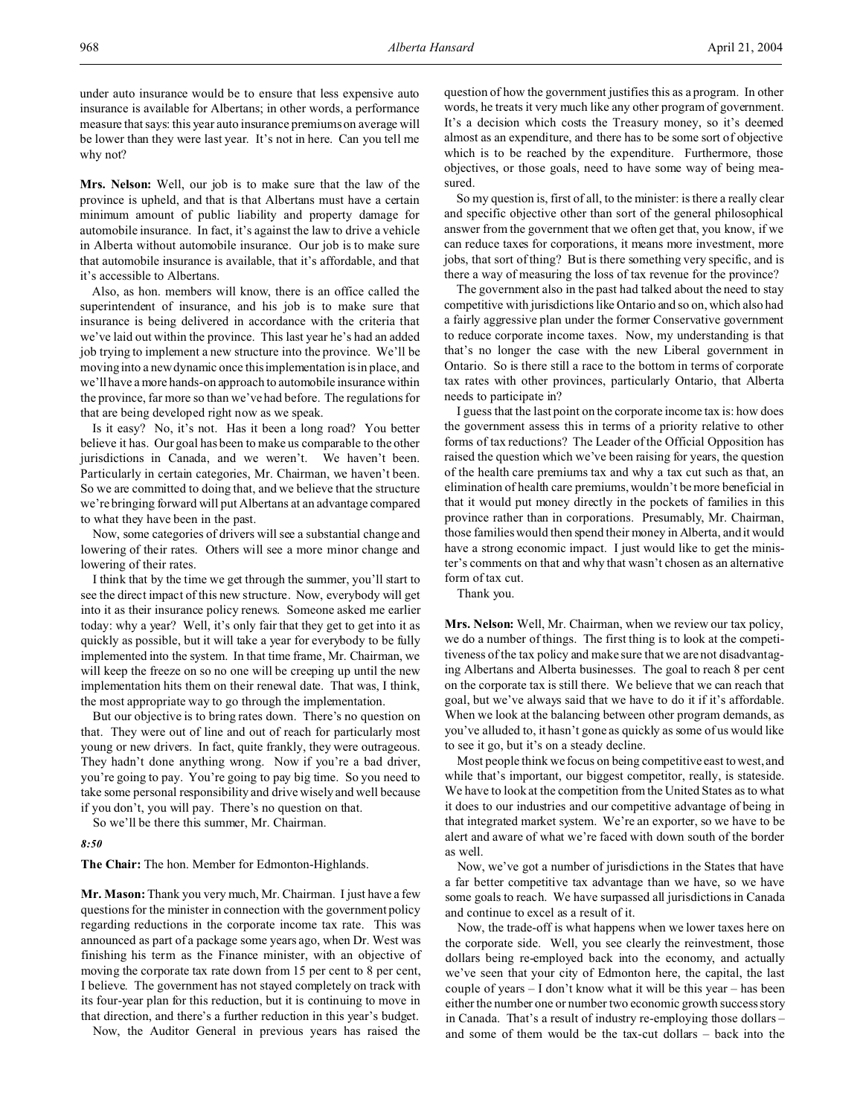under auto insurance would be to ensure that less expensive auto insurance is available for Albertans; in other words, a performance measure that says: this year auto insurance premiums on average will be lower than they were last year. It's not in here. Can you tell me why not?

**Mrs. Nelson:** Well, our job is to make sure that the law of the province is upheld, and that is that Albertans must have a certain minimum amount of public liability and property damage for automobile insurance. In fact, it's against the law to drive a vehicle in Alberta without automobile insurance. Our job is to make sure that automobile insurance is available, that it's affordable, and that it's accessible to Albertans.

Also, as hon. members will know, there is an office called the superintendent of insurance, and his job is to make sure that insurance is being delivered in accordance with the criteria that we've laid out within the province. This last year he's had an added job trying to implement a new structure into the province. We'll be moving into a new dynamic once this implementation is in place, and we'll have a more hands-on approach to automobile insurance within the province, far more so than we've had before. The regulations for that are being developed right now as we speak.

Is it easy? No, it's not. Has it been a long road? You better believe it has. Our goal has been to make us comparable to the other jurisdictions in Canada, and we weren't. We haven't been. Particularly in certain categories, Mr. Chairman, we haven't been. So we are committed to doing that, and we believe that the structure we're bringing forward will put Albertans at an advantage compared to what they have been in the past.

Now, some categories of drivers will see a substantial change and lowering of their rates. Others will see a more minor change and lowering of their rates.

I think that by the time we get through the summer, you'll start to see the direct impact of this new structure. Now, everybody will get into it as their insurance policy renews. Someone asked me earlier today: why a year? Well, it's only fair that they get to get into it as quickly as possible, but it will take a year for everybody to be fully implemented into the system. In that time frame, Mr. Chairman, we will keep the freeze on so no one will be creeping up until the new implementation hits them on their renewal date. That was, I think, the most appropriate way to go through the implementation.

But our objective is to bring rates down. There's no question on that. They were out of line and out of reach for particularly most young or new drivers. In fact, quite frankly, they were outrageous. They hadn't done anything wrong. Now if you're a bad driver, you're going to pay. You're going to pay big time. So you need to take some personal responsibility and drive wisely and well because if you don't, you will pay. There's no question on that.

So we'll be there this summer, Mr. Chairman.

#### *8:50*

**The Chair:** The hon. Member for Edmonton-Highlands.

**Mr. Mason:** Thank you very much, Mr. Chairman. I just have a few questions for the minister in connection with the government policy regarding reductions in the corporate income tax rate. This was announced as part of a package some years ago, when Dr. West was finishing his term as the Finance minister, with an objective of moving the corporate tax rate down from 15 per cent to 8 per cent, I believe. The government has not stayed completely on track with its four-year plan for this reduction, but it is continuing to move in that direction, and there's a further reduction in this year's budget.

Now, the Auditor General in previous years has raised the

question of how the government justifies this as a program. In other words, he treats it very much like any other program of government. It's a decision which costs the Treasury money, so it's deemed almost as an expenditure, and there has to be some sort of objective which is to be reached by the expenditure. Furthermore, those objectives, or those goals, need to have some way of being measured.

So my question is, first of all, to the minister: is there a really clear and specific objective other than sort of the general philosophical answer from the government that we often get that, you know, if we can reduce taxes for corporations, it means more investment, more jobs, that sort of thing? But is there something very specific, and is there a way of measuring the loss of tax revenue for the province?

The government also in the past had talked about the need to stay competitive with jurisdictions like Ontario and so on, which also had a fairly aggressive plan under the former Conservative government to reduce corporate income taxes. Now, my understanding is that that's no longer the case with the new Liberal government in Ontario. So is there still a race to the bottom in terms of corporate tax rates with other provinces, particularly Ontario, that Alberta needs to participate in?

I guess that the last point on the corporate income tax is: how does the government assess this in terms of a priority relative to other forms of tax reductions? The Leader of the Official Opposition has raised the question which we've been raising for years, the question of the health care premiums tax and why a tax cut such as that, an elimination of health care premiums, wouldn't be more beneficial in that it would put money directly in the pockets of families in this province rather than in corporations. Presumably, Mr. Chairman, those families would then spend their money in Alberta, and it would have a strong economic impact. I just would like to get the minister's comments on that and why that wasn't chosen as an alternative form of tax cut.

Thank you.

**Mrs. Nelson:** Well, Mr. Chairman, when we review our tax policy, we do a number of things. The first thing is to look at the competitiveness of the tax policy and make sure that we are not disadvantaging Albertans and Alberta businesses. The goal to reach 8 per cent on the corporate tax is still there. We believe that we can reach that goal, but we've always said that we have to do it if it's affordable. When we look at the balancing between other program demands, as you've alluded to, it hasn't gone as quickly as some of us would like to see it go, but it's on a steady decline.

Most people think we focus on being competitive east to west, and while that's important, our biggest competitor, really, is stateside. We have to look at the competition from the United States as to what it does to our industries and our competitive advantage of being in that integrated market system. We're an exporter, so we have to be alert and aware of what we're faced with down south of the border as well.

Now, we've got a number of jurisdictions in the States that have a far better competitive tax advantage than we have, so we have some goals to reach. We have surpassed all jurisdictions in Canada and continue to excel as a result of it.

Now, the trade-off is what happens when we lower taxes here on the corporate side. Well, you see clearly the reinvestment, those dollars being re-employed back into the economy, and actually we've seen that your city of Edmonton here, the capital, the last couple of years – I don't know what it will be this year – has been either the number one or number two economic growth success story in Canada. That's a result of industry re-employing those dollars – and some of them would be the tax-cut dollars – back into the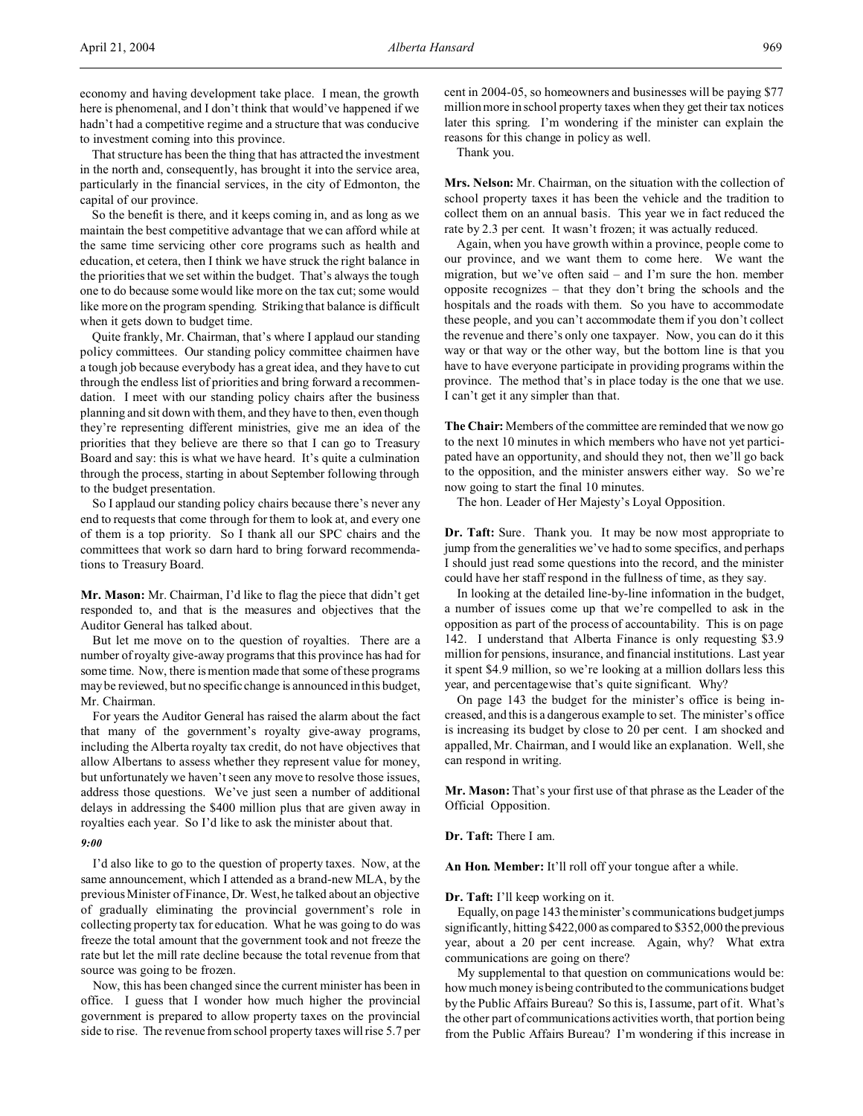economy and having development take place. I mean, the growth here is phenomenal, and I don't think that would've happened if we hadn't had a competitive regime and a structure that was conducive to investment coming into this province.

That structure has been the thing that has attracted the investment in the north and, consequently, has brought it into the service area, particularly in the financial services, in the city of Edmonton, the capital of our province.

So the benefit is there, and it keeps coming in, and as long as we maintain the best competitive advantage that we can afford while at the same time servicing other core programs such as health and education, et cetera, then I think we have struck the right balance in the priorities that we set within the budget. That's always the tough one to do because some would like more on the tax cut; some would like more on the program spending. Striking that balance is difficult when it gets down to budget time.

Quite frankly, Mr. Chairman, that's where I applaud our standing policy committees. Our standing policy committee chairmen have a tough job because everybody has a great idea, and they have to cut through the endless list of priorities and bring forward a recommendation. I meet with our standing policy chairs after the business planning and sit down with them, and they have to then, even though they're representing different ministries, give me an idea of the priorities that they believe are there so that I can go to Treasury Board and say: this is what we have heard. It's quite a culmination through the process, starting in about September following through to the budget presentation.

So I applaud our standing policy chairs because there's never any end to requests that come through for them to look at, and every one of them is a top priority. So I thank all our SPC chairs and the committees that work so darn hard to bring forward recommendations to Treasury Board.

**Mr. Mason:** Mr. Chairman, I'd like to flag the piece that didn't get responded to, and that is the measures and objectives that the Auditor General has talked about.

But let me move on to the question of royalties. There are a number of royalty give-away programs that this province has had for some time. Now, there is mention made that some of these programs may be reviewed, but no specific change is announced in this budget, Mr. Chairman.

For years the Auditor General has raised the alarm about the fact that many of the government's royalty give-away programs, including the Alberta royalty tax credit, do not have objectives that allow Albertans to assess whether they represent value for money, but unfortunately we haven't seen any move to resolve those issues, address those questions. We've just seen a number of additional delays in addressing the \$400 million plus that are given away in royalties each year. So I'd like to ask the minister about that.

#### *9:00*

I'd also like to go to the question of property taxes. Now, at the same announcement, which I attended as a brand-new MLA, by the previous Minister of Finance, Dr. West, he talked about an objective of gradually eliminating the provincial government's role in collecting property tax for education. What he was going to do was freeze the total amount that the government took and not freeze the rate but let the mill rate decline because the total revenue from that source was going to be frozen.

Now, this has been changed since the current minister has been in office. I guess that I wonder how much higher the provincial government is prepared to allow property taxes on the provincial side to rise. The revenue from school property taxes will rise 5.7 per

cent in 2004-05, so homeowners and businesses will be paying \$77 million more in school property taxes when they get their tax notices later this spring. I'm wondering if the minister can explain the reasons for this change in policy as well.

Thank you.

**Mrs. Nelson:** Mr. Chairman, on the situation with the collection of school property taxes it has been the vehicle and the tradition to collect them on an annual basis. This year we in fact reduced the rate by 2.3 per cent. It wasn't frozen; it was actually reduced.

Again, when you have growth within a province, people come to our province, and we want them to come here. We want the migration, but we've often said – and I'm sure the hon. member opposite recognizes – that they don't bring the schools and the hospitals and the roads with them. So you have to accommodate these people, and you can't accommodate them if you don't collect the revenue and there's only one taxpayer. Now, you can do it this way or that way or the other way, but the bottom line is that you have to have everyone participate in providing programs within the province. The method that's in place today is the one that we use. I can't get it any simpler than that.

**The Chair:** Members of the committee are reminded that we now go to the next 10 minutes in which members who have not yet participated have an opportunity, and should they not, then we'll go back to the opposition, and the minister answers either way. So we're now going to start the final 10 minutes.

The hon. Leader of Her Majesty's Loyal Opposition.

**Dr. Taft:** Sure. Thank you. It may be now most appropriate to jump from the generalities we've had to some specifics, and perhaps I should just read some questions into the record, and the minister could have her staff respond in the fullness of time, as they say.

In looking at the detailed line-by-line information in the budget, a number of issues come up that we're compelled to ask in the opposition as part of the process of accountability. This is on page 142. I understand that Alberta Finance is only requesting \$3.9 million for pensions, insurance, and financial institutions. Last year it spent \$4.9 million, so we're looking at a million dollars less this year, and percentagewise that's quite significant. Why?

On page 143 the budget for the minister's office is being increased, and this is a dangerous example to set. The minister's office is increasing its budget by close to 20 per cent. I am shocked and appalled, Mr. Chairman, and I would like an explanation. Well, she can respond in writing.

**Mr. Mason:** That's your first use of that phrase as the Leader of the Official Opposition.

**Dr. Taft:** There I am.

**An Hon. Member:** It'll roll off your tongue after a while.

## **Dr. Taft:** I'll keep working on it.

Equally, on page 143 the minister's communications budget jumps significantly, hitting \$422,000 as compared to \$352,000 the previous year, about a 20 per cent increase. Again, why? What extra communications are going on there?

My supplemental to that question on communications would be: how much money is being contributed to the communications budget by the Public Affairs Bureau? So this is, I assume, part of it. What's the other part of communications activities worth, that portion being from the Public Affairs Bureau? I'm wondering if this increase in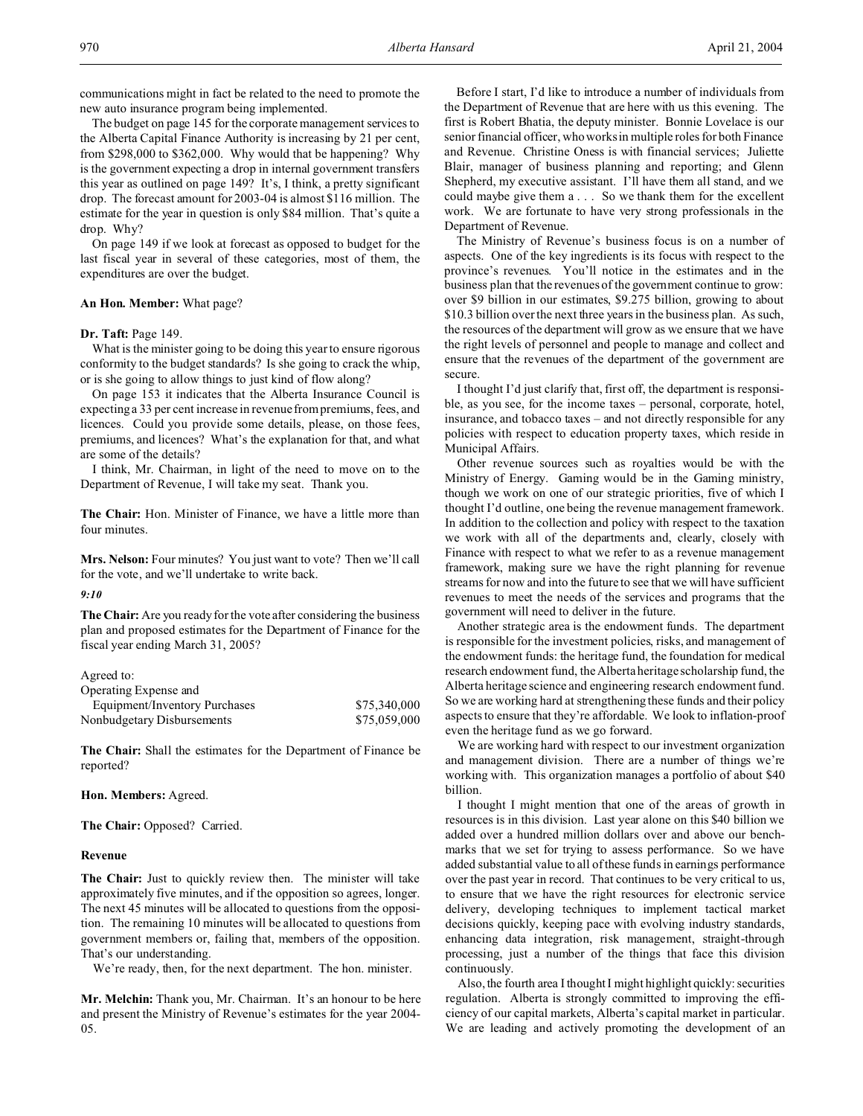communications might in fact be related to the need to promote the new auto insurance program being implemented.

The budget on page 145 for the corporate management services to the Alberta Capital Finance Authority is increasing by 21 per cent, from \$298,000 to \$362,000. Why would that be happening? Why is the government expecting a drop in internal government transfers this year as outlined on page 149? It's, I think, a pretty significant drop. The forecast amount for 2003-04 is almost \$116 million. The estimate for the year in question is only \$84 million. That's quite a drop. Why?

On page 149 if we look at forecast as opposed to budget for the last fiscal year in several of these categories, most of them, the expenditures are over the budget.

## **An Hon. Member:** What page?

#### **Dr. Taft:** Page 149.

What is the minister going to be doing this year to ensure rigorous conformity to the budget standards? Is she going to crack the whip, or is she going to allow things to just kind of flow along?

On page 153 it indicates that the Alberta Insurance Council is expecting a 33 per cent increase in revenue from premiums, fees, and licences. Could you provide some details, please, on those fees, premiums, and licences? What's the explanation for that, and what are some of the details?

I think, Mr. Chairman, in light of the need to move on to the Department of Revenue, I will take my seat. Thank you.

**The Chair:** Hon. Minister of Finance, we have a little more than four minutes.

**Mrs. Nelson:** Four minutes? You just want to vote? Then we'll call for the vote, and we'll undertake to write back.

#### *9:10*

**The Chair:** Are you ready for the vote after considering the business plan and proposed estimates for the Department of Finance for the fiscal year ending March 31, 2005?

#### Agreed to:

| Operating Expense and         |              |
|-------------------------------|--------------|
| Equipment/Inventory Purchases | \$75,340,000 |
| Nonbudgetary Disbursements    | \$75,059,000 |

**The Chair:** Shall the estimates for the Department of Finance be reported?

#### **Hon. Members:** Agreed.

**The Chair:** Opposed? Carried.

#### **Revenue**

**The Chair:** Just to quickly review then. The minister will take approximately five minutes, and if the opposition so agrees, longer. The next 45 minutes will be allocated to questions from the opposition. The remaining 10 minutes will be allocated to questions from government members or, failing that, members of the opposition. That's our understanding.

We're ready, then, for the next department. The hon. minister.

**Mr. Melchin:** Thank you, Mr. Chairman. It's an honour to be here and present the Ministry of Revenue's estimates for the year 2004- 05.

Before I start, I'd like to introduce a number of individuals from the Department of Revenue that are here with us this evening. The first is Robert Bhatia, the deputy minister. Bonnie Lovelace is our senior financial officer, who works in multiple roles for both Finance and Revenue. Christine Oness is with financial services; Juliette Blair, manager of business planning and reporting; and Glenn Shepherd, my executive assistant. I'll have them all stand, and we could maybe give them a . . . So we thank them for the excellent work. We are fortunate to have very strong professionals in the Department of Revenue.

The Ministry of Revenue's business focus is on a number of aspects. One of the key ingredients is its focus with respect to the province's revenues. You'll notice in the estimates and in the business plan that the revenues of the government continue to grow: over \$9 billion in our estimates, \$9.275 billion, growing to about \$10.3 billion over the next three years in the business plan. As such, the resources of the department will grow as we ensure that we have the right levels of personnel and people to manage and collect and ensure that the revenues of the department of the government are secure.

I thought I'd just clarify that, first off, the department is responsible, as you see, for the income taxes – personal, corporate, hotel, insurance, and tobacco taxes – and not directly responsible for any policies with respect to education property taxes, which reside in Municipal Affairs.

Other revenue sources such as royalties would be with the Ministry of Energy. Gaming would be in the Gaming ministry, though we work on one of our strategic priorities, five of which I thought I'd outline, one being the revenue management framework. In addition to the collection and policy with respect to the taxation we work with all of the departments and, clearly, closely with Finance with respect to what we refer to as a revenue management framework, making sure we have the right planning for revenue streams for now and into the future to see that we will have sufficient revenues to meet the needs of the services and programs that the government will need to deliver in the future.

Another strategic area is the endowment funds. The department is responsible for the investment policies, risks, and management of the endowment funds: the heritage fund, the foundation for medical research endowment fund, the Alberta heritage scholarship fund, the Alberta heritage science and engineering research endowment fund. So we are working hard at strengthening these funds and their policy aspects to ensure that they're affordable. We look to inflation-proof even the heritage fund as we go forward.

We are working hard with respect to our investment organization and management division. There are a number of things we're working with. This organization manages a portfolio of about \$40 billion.

I thought I might mention that one of the areas of growth in resources is in this division. Last year alone on this \$40 billion we added over a hundred million dollars over and above our benchmarks that we set for trying to assess performance. So we have added substantial value to all of these funds in earnings performance over the past year in record. That continues to be very critical to us, to ensure that we have the right resources for electronic service delivery, developing techniques to implement tactical market decisions quickly, keeping pace with evolving industry standards, enhancing data integration, risk management, straight-through processing, just a number of the things that face this division continuously.

Also, the fourth area I thought I might highlight quickly: securities regulation. Alberta is strongly committed to improving the efficiency of our capital markets, Alberta's capital market in particular. We are leading and actively promoting the development of an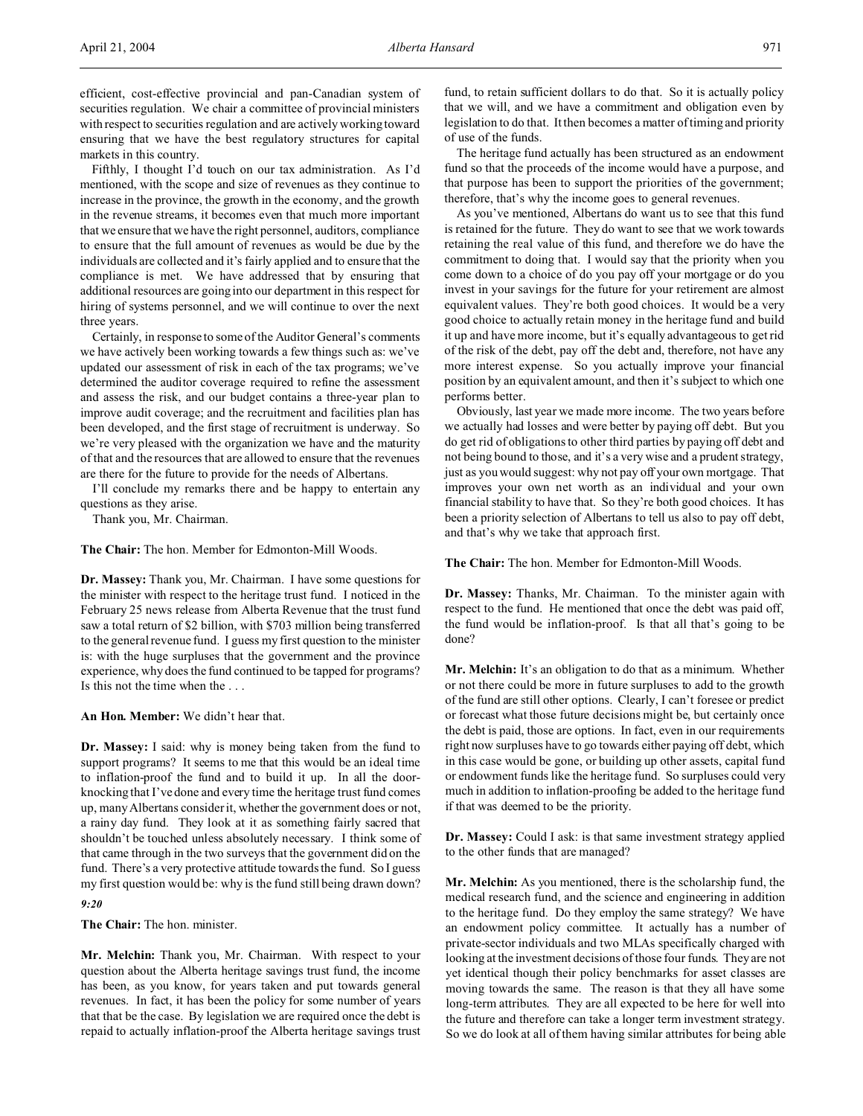efficient, cost-effective provincial and pan-Canadian system of securities regulation. We chair a committee of provincial ministers with respect to securities regulation and are actively working toward ensuring that we have the best regulatory structures for capital markets in this country.

Fifthly, I thought I'd touch on our tax administration. As I'd mentioned, with the scope and size of revenues as they continue to increase in the province, the growth in the economy, and the growth in the revenue streams, it becomes even that much more important that we ensure that we have the right personnel, auditors, compliance to ensure that the full amount of revenues as would be due by the individuals are collected and it's fairly applied and to ensure that the compliance is met. We have addressed that by ensuring that additional resources are going into our department in this respect for hiring of systems personnel, and we will continue to over the next three years.

Certainly, in response to some of the Auditor General's comments we have actively been working towards a few things such as: we've updated our assessment of risk in each of the tax programs; we've determined the auditor coverage required to refine the assessment and assess the risk, and our budget contains a three-year plan to improve audit coverage; and the recruitment and facilities plan has been developed, and the first stage of recruitment is underway. So we're very pleased with the organization we have and the maturity of that and the resources that are allowed to ensure that the revenues are there for the future to provide for the needs of Albertans.

I'll conclude my remarks there and be happy to entertain any questions as they arise.

Thank you, Mr. Chairman.

**The Chair:** The hon. Member for Edmonton-Mill Woods.

**Dr. Massey:** Thank you, Mr. Chairman. I have some questions for the minister with respect to the heritage trust fund. I noticed in the February 25 news release from Alberta Revenue that the trust fund saw a total return of \$2 billion, with \$703 million being transferred to the general revenue fund. I guess my first question to the minister is: with the huge surpluses that the government and the province experience, why does the fund continued to be tapped for programs? Is this not the time when the . . .

**An Hon. Member:** We didn't hear that.

**Dr. Massey:** I said: why is money being taken from the fund to support programs? It seems to me that this would be an ideal time to inflation-proof the fund and to build it up. In all the doorknocking that I've done and every time the heritage trust fund comes up, many Albertans consider it, whether the government does or not, a rainy day fund. They look at it as something fairly sacred that shouldn't be touched unless absolutely necessary. I think some of that came through in the two surveys that the government did on the fund. There's a very protective attitude towards the fund. So I guess my first question would be: why is the fund still being drawn down?

# *9:20*

**The Chair:** The hon. minister.

**Mr. Melchin:** Thank you, Mr. Chairman. With respect to your question about the Alberta heritage savings trust fund, the income has been, as you know, for years taken and put towards general revenues. In fact, it has been the policy for some number of years that that be the case. By legislation we are required once the debt is repaid to actually inflation-proof the Alberta heritage savings trust fund, to retain sufficient dollars to do that. So it is actually policy that we will, and we have a commitment and obligation even by legislation to do that. It then becomes a matter of timing and priority of use of the funds.

The heritage fund actually has been structured as an endowment fund so that the proceeds of the income would have a purpose, and that purpose has been to support the priorities of the government; therefore, that's why the income goes to general revenues.

As you've mentioned, Albertans do want us to see that this fund is retained for the future. They do want to see that we work towards retaining the real value of this fund, and therefore we do have the commitment to doing that. I would say that the priority when you come down to a choice of do you pay off your mortgage or do you invest in your savings for the future for your retirement are almost equivalent values. They're both good choices. It would be a very good choice to actually retain money in the heritage fund and build it up and have more income, but it's equally advantageous to get rid of the risk of the debt, pay off the debt and, therefore, not have any more interest expense. So you actually improve your financial position by an equivalent amount, and then it's subject to which one performs better.

Obviously, last year we made more income. The two years before we actually had losses and were better by paying off debt. But you do get rid of obligations to other third parties by paying off debt and not being bound to those, and it's a very wise and a prudent strategy, just as you would suggest: why not pay off your own mortgage. That improves your own net worth as an individual and your own financial stability to have that. So they're both good choices. It has been a priority selection of Albertans to tell us also to pay off debt, and that's why we take that approach first.

**The Chair:** The hon. Member for Edmonton-Mill Woods.

**Dr. Massey:** Thanks, Mr. Chairman. To the minister again with respect to the fund. He mentioned that once the debt was paid off, the fund would be inflation-proof. Is that all that's going to be done?

**Mr. Melchin:** It's an obligation to do that as a minimum. Whether or not there could be more in future surpluses to add to the growth of the fund are still other options. Clearly, I can't foresee or predict or forecast what those future decisions might be, but certainly once the debt is paid, those are options. In fact, even in our requirements right now surpluses have to go towards either paying off debt, which in this case would be gone, or building up other assets, capital fund or endowment funds like the heritage fund. So surpluses could very much in addition to inflation-proofing be added to the heritage fund if that was deemed to be the priority.

**Dr. Massey:** Could I ask: is that same investment strategy applied to the other funds that are managed?

**Mr. Melchin:** As you mentioned, there is the scholarship fund, the medical research fund, and the science and engineering in addition to the heritage fund. Do they employ the same strategy? We have an endowment policy committee. It actually has a number of private-sector individuals and two MLAs specifically charged with looking at the investment decisions of those four funds. They are not yet identical though their policy benchmarks for asset classes are moving towards the same. The reason is that they all have some long-term attributes. They are all expected to be here for well into the future and therefore can take a longer term investment strategy. So we do look at all of them having similar attributes for being able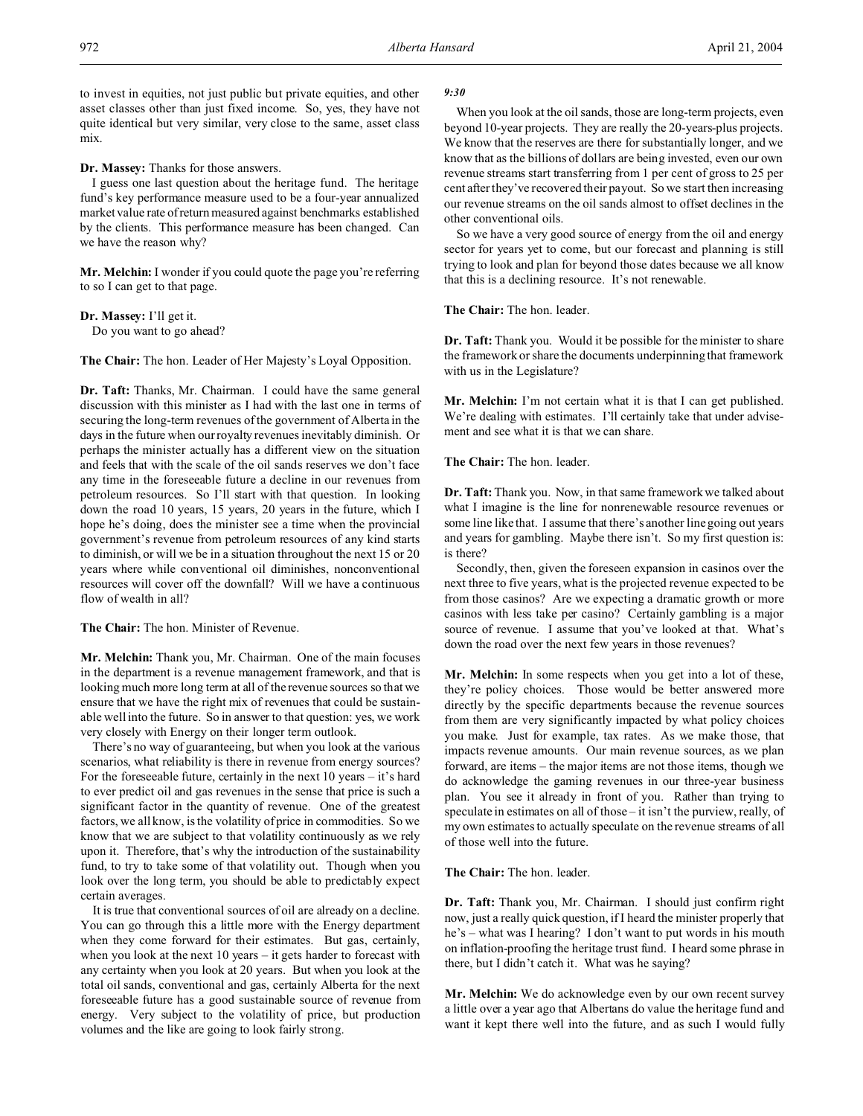to invest in equities, not just public but private equities, and other asset classes other than just fixed income. So, yes, they have not quite identical but very similar, very close to the same, asset class mix.

**Dr. Massey:** Thanks for those answers.

I guess one last question about the heritage fund. The heritage fund's key performance measure used to be a four-year annualized market value rate of return measured against benchmarks established by the clients. This performance measure has been changed. Can we have the reason why?

**Mr. Melchin:** I wonder if you could quote the page you're referring to so I can get to that page.

**Dr. Massey:** I'll get it. Do you want to go ahead?

**The Chair:** The hon. Leader of Her Majesty's Loyal Opposition.

**Dr. Taft:** Thanks, Mr. Chairman. I could have the same general discussion with this minister as I had with the last one in terms of securing the long-term revenues of the government of Alberta in the days in the future when our royalty revenues inevitably diminish. Or perhaps the minister actually has a different view on the situation and feels that with the scale of the oil sands reserves we don't face any time in the foreseeable future a decline in our revenues from petroleum resources. So I'll start with that question. In looking down the road 10 years, 15 years, 20 years in the future, which I hope he's doing, does the minister see a time when the provincial government's revenue from petroleum resources of any kind starts to diminish, or will we be in a situation throughout the next 15 or 20 years where while conventional oil diminishes, nonconventional resources will cover off the downfall? Will we have a continuous flow of wealth in all?

**The Chair:** The hon. Minister of Revenue.

**Mr. Melchin:** Thank you, Mr. Chairman. One of the main focuses in the department is a revenue management framework, and that is looking much more long term at all of the revenue sources so that we ensure that we have the right mix of revenues that could be sustainable well into the future. So in answer to that question: yes, we work very closely with Energy on their longer term outlook.

There's no way of guaranteeing, but when you look at the various scenarios, what reliability is there in revenue from energy sources? For the foreseeable future, certainly in the next 10 years – it's hard to ever predict oil and gas revenues in the sense that price is such a significant factor in the quantity of revenue. One of the greatest factors, we all know, is the volatility of price in commodities. So we know that we are subject to that volatility continuously as we rely upon it. Therefore, that's why the introduction of the sustainability fund, to try to take some of that volatility out. Though when you look over the long term, you should be able to predictably expect certain averages.

It is true that conventional sources of oil are already on a decline. You can go through this a little more with the Energy department when they come forward for their estimates. But gas, certainly, when you look at the next 10 years – it gets harder to forecast with any certainty when you look at 20 years. But when you look at the total oil sands, conventional and gas, certainly Alberta for the next foreseeable future has a good sustainable source of revenue from energy. Very subject to the volatility of price, but production volumes and the like are going to look fairly strong.

#### *9:30*

When you look at the oil sands, those are long-term projects, even beyond 10-year projects. They are really the 20-years-plus projects. We know that the reserves are there for substantially longer, and we know that as the billions of dollars are being invested, even our own revenue streams start transferring from 1 per cent of gross to 25 per cent after they've recovered their payout. So we start then increasing our revenue streams on the oil sands almost to offset declines in the other conventional oils.

So we have a very good source of energy from the oil and energy sector for years yet to come, but our forecast and planning is still trying to look and plan for beyond those dates because we all know that this is a declining resource. It's not renewable.

# **The Chair:** The hon. leader.

**Dr. Taft:** Thank you. Would it be possible for the minister to share the framework or share the documents underpinning that framework with us in the Legislature?

**Mr. Melchin:** I'm not certain what it is that I can get published. We're dealing with estimates. I'll certainly take that under advisement and see what it is that we can share.

**The Chair:** The hon. leader.

**Dr. Taft:** Thank you. Now, in that same framework we talked about what I imagine is the line for nonrenewable resource revenues or some line like that. I assume that there's another line going out years and years for gambling. Maybe there isn't. So my first question is: is there?

Secondly, then, given the foreseen expansion in casinos over the next three to five years, what is the projected revenue expected to be from those casinos? Are we expecting a dramatic growth or more casinos with less take per casino? Certainly gambling is a major source of revenue. I assume that you've looked at that. What's down the road over the next few years in those revenues?

**Mr. Melchin:** In some respects when you get into a lot of these, they're policy choices. Those would be better answered more directly by the specific departments because the revenue sources from them are very significantly impacted by what policy choices you make. Just for example, tax rates. As we make those, that impacts revenue amounts. Our main revenue sources, as we plan forward, are items – the major items are not those items, though we do acknowledge the gaming revenues in our three-year business plan. You see it already in front of you. Rather than trying to speculate in estimates on all of those – it isn't the purview, really, of my own estimates to actually speculate on the revenue streams of all of those well into the future.

**The Chair:** The hon. leader.

**Dr. Taft:** Thank you, Mr. Chairman. I should just confirm right now, just a really quick question, if I heard the minister properly that he's – what was I hearing? I don't want to put words in his mouth on inflation-proofing the heritage trust fund. I heard some phrase in there, but I didn't catch it. What was he saying?

**Mr. Melchin:** We do acknowledge even by our own recent survey a little over a year ago that Albertans do value the heritage fund and want it kept there well into the future, and as such I would fully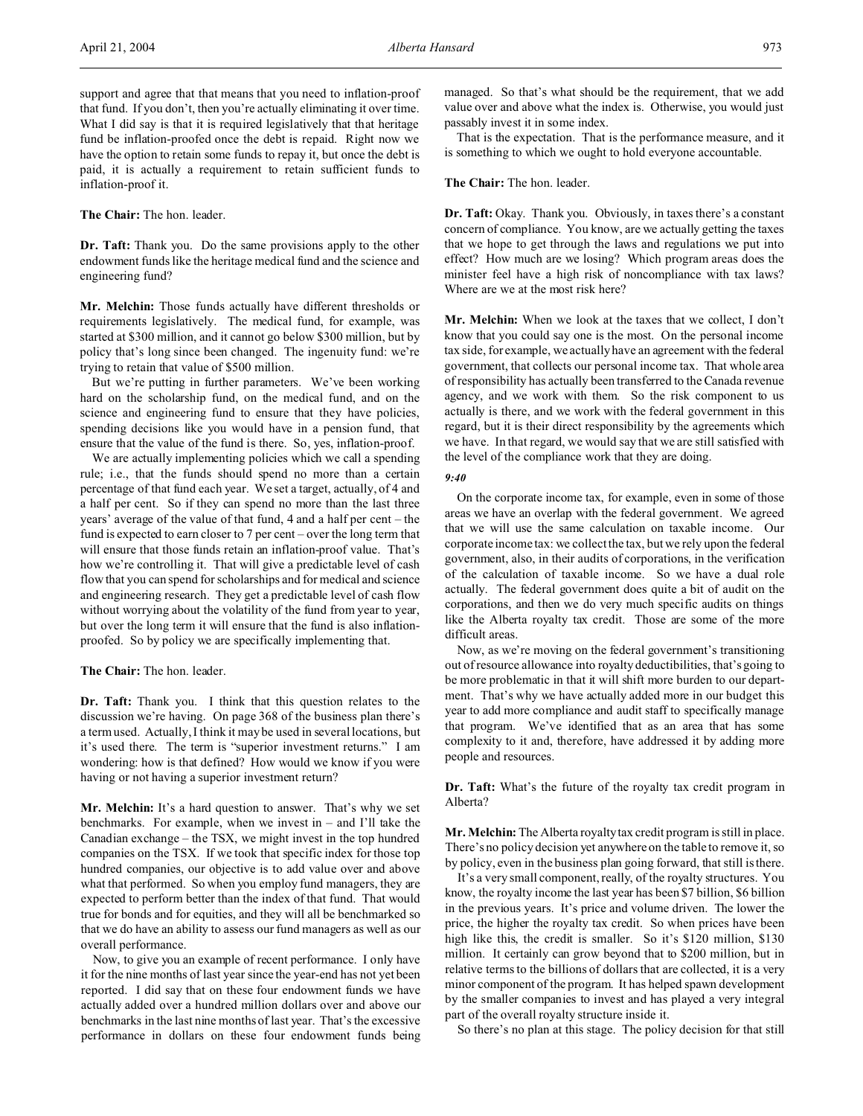**The Chair:** The hon. leader.

**Dr. Taft:** Thank you. Do the same provisions apply to the other endowment funds like the heritage medical fund and the science and engineering fund?

**Mr. Melchin:** Those funds actually have different thresholds or requirements legislatively. The medical fund, for example, was started at \$300 million, and it cannot go below \$300 million, but by policy that's long since been changed. The ingenuity fund: we're trying to retain that value of \$500 million.

But we're putting in further parameters. We've been working hard on the scholarship fund, on the medical fund, and on the science and engineering fund to ensure that they have policies, spending decisions like you would have in a pension fund, that ensure that the value of the fund is there. So, yes, inflation-proof.

We are actually implementing policies which we call a spending rule; i.e., that the funds should spend no more than a certain percentage of that fund each year. We set a target, actually, of 4 and a half per cent. So if they can spend no more than the last three years' average of the value of that fund, 4 and a half per cent – the fund is expected to earn closer to 7 per cent – over the long term that will ensure that those funds retain an inflation-proof value. That's how we're controlling it. That will give a predictable level of cash flow that you can spend for scholarships and for medical and science and engineering research. They get a predictable level of cash flow without worrying about the volatility of the fund from year to year, but over the long term it will ensure that the fund is also inflationproofed. So by policy we are specifically implementing that.

**The Chair:** The hon. leader.

**Dr. Taft:** Thank you. I think that this question relates to the discussion we're having. On page 368 of the business plan there's a term used. Actually, I think it may be used in several locations, but it's used there. The term is "superior investment returns." I am wondering: how is that defined? How would we know if you were having or not having a superior investment return?

**Mr. Melchin:** It's a hard question to answer. That's why we set benchmarks. For example, when we invest in – and I'll take the Canadian exchange – the TSX, we might invest in the top hundred companies on the TSX. If we took that specific index for those top hundred companies, our objective is to add value over and above what that performed. So when you employ fund managers, they are expected to perform better than the index of that fund. That would true for bonds and for equities, and they will all be benchmarked so that we do have an ability to assess our fund managers as well as our overall performance.

Now, to give you an example of recent performance. I only have it for the nine months of last year since the year-end has not yet been reported. I did say that on these four endowment funds we have actually added over a hundred million dollars over and above our benchmarks in the last nine months of last year. That's the excessive performance in dollars on these four endowment funds being

managed. So that's what should be the requirement, that we add value over and above what the index is. Otherwise, you would just passably invest it in some index.

That is the expectation. That is the performance measure, and it is something to which we ought to hold everyone accountable.

# **The Chair:** The hon. leader.

**Dr. Taft:** Okay. Thank you. Obviously, in taxes there's a constant concern of compliance. You know, are we actually getting the taxes that we hope to get through the laws and regulations we put into effect? How much are we losing? Which program areas does the minister feel have a high risk of noncompliance with tax laws? Where are we at the most risk here?

**Mr. Melchin:** When we look at the taxes that we collect, I don't know that you could say one is the most. On the personal income tax side, for example, we actually have an agreement with the federal government, that collects our personal income tax. That whole area of responsibility has actually been transferred to the Canada revenue agency, and we work with them. So the risk component to us actually is there, and we work with the federal government in this regard, but it is their direct responsibility by the agreements which we have. In that regard, we would say that we are still satisfied with the level of the compliance work that they are doing.

#### *9:40*

On the corporate income tax, for example, even in some of those areas we have an overlap with the federal government. We agreed that we will use the same calculation on taxable income. Our corporate income tax: we collect the tax, but we rely upon the federal government, also, in their audits of corporations, in the verification of the calculation of taxable income. So we have a dual role actually. The federal government does quite a bit of audit on the corporations, and then we do very much specific audits on things like the Alberta royalty tax credit. Those are some of the more difficult areas.

Now, as we're moving on the federal government's transitioning out of resource allowance into royalty deductibilities, that's going to be more problematic in that it will shift more burden to our department. That's why we have actually added more in our budget this year to add more compliance and audit staff to specifically manage that program. We've identified that as an area that has some complexity to it and, therefore, have addressed it by adding more people and resources.

**Dr. Taft:** What's the future of the royalty tax credit program in Alberta?

**Mr. Melchin:** The Alberta royalty tax credit program is still in place. There's no policy decision yet anywhere on the table to remove it, so by policy, even in the business plan going forward, that still is there.

It's a very small component, really, of the royalty structures. You know, the royalty income the last year has been \$7 billion, \$6 billion in the previous years. It's price and volume driven. The lower the price, the higher the royalty tax credit. So when prices have been high like this, the credit is smaller. So it's \$120 million, \$130 million. It certainly can grow beyond that to \$200 million, but in relative terms to the billions of dollars that are collected, it is a very minor component of the program. It has helped spawn development by the smaller companies to invest and has played a very integral part of the overall royalty structure inside it.

So there's no plan at this stage. The policy decision for that still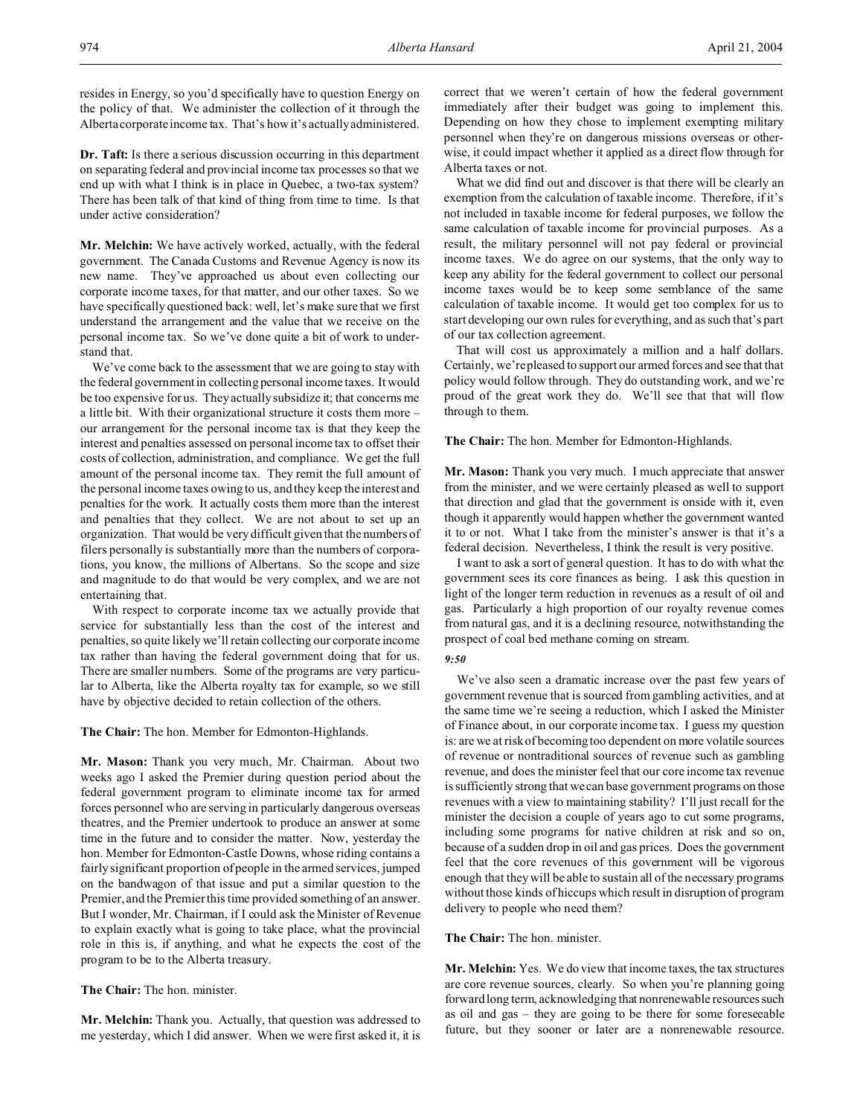resides in Energy, so you'd specifically have to question Energy on the policy of that. We administer the collection of it through the Alberta corporate income tax. That's how it's actually administered.

**Dr. Taft:** Is there a serious discussion occurring in this department on separating federal and provincial income tax processes so that we end up with what I think is in place in Quebec, a two-tax system? There has been talk of that kind of thing from time to time. Is that under active consideration?

**Mr. Melchin:** We have actively worked, actually, with the federal government. The Canada Customs and Revenue Agency is now its new name. They've approached us about even collecting our corporate income taxes, for that matter, and our other taxes. So we have specifically questioned back: well, let's make sure that we first understand the arrangement and the value that we receive on the personal income tax. So we've done quite a bit of work to understand that.

We've come back to the assessment that we are going to stay with the federal government in collecting personal income taxes. It would be too expensive for us. They actually subsidize it; that concerns me a little bit. With their organizational structure it costs them more – our arrangement for the personal income tax is that they keep the interest and penalties assessed on personal income tax to offset their costs of collection, administration, and compliance. We get the full amount of the personal income tax. They remit the full amount of the personal income taxes owing to us, and they keep the interest and penalties for the work. It actually costs them more than the interest and penalties that they collect. We are not about to set up an organization. That would be very difficult given that the numbers of filers personally is substantially more than the numbers of corporations, you know, the millions of Albertans. So the scope and size and magnitude to do that would be very complex, and we are not entertaining that.

With respect to corporate income tax we actually provide that service for substantially less than the cost of the interest and penalties, so quite likely we'll retain collecting our corporate income tax rather than having the federal government doing that for us. There are smaller numbers. Some of the programs are very particular to Alberta, like the Alberta royalty tax for example, so we still have by objective decided to retain collection of the others.

**The Chair:** The hon. Member for Edmonton-Highlands.

**Mr. Mason:** Thank you very much, Mr. Chairman. About two weeks ago I asked the Premier during question period about the federal government program to eliminate income tax for armed forces personnel who are serving in particularly dangerous overseas theatres, and the Premier undertook to produce an answer at some time in the future and to consider the matter. Now, yesterday the hon. Member for Edmonton-Castle Downs, whose riding contains a fairly significant proportion of people in the armed services, jumped on the bandwagon of that issue and put a similar question to the Premier, and the Premier this time provided something of an answer. But I wonder, Mr. Chairman, if I could ask the Minister of Revenue to explain exactly what is going to take place, what the provincial role in this is, if anything, and what he expects the cost of the program to be to the Alberta treasury.

**The Chair:** The hon. minister.

**Mr. Melchin:** Thank you. Actually, that question was addressed to me yesterday, which I did answer. When we were first asked it, it is correct that we weren't certain of how the federal government immediately after their budget was going to implement this. Depending on how they chose to implement exempting military personnel when they're on dangerous missions overseas or otherwise, it could impact whether it applied as a direct flow through for Alberta taxes or not.

What we did find out and discover is that there will be clearly an exemption from the calculation of taxable income. Therefore, if it's not included in taxable income for federal purposes, we follow the same calculation of taxable income for provincial purposes. As a result, the military personnel will not pay federal or provincial income taxes. We do agree on our systems, that the only way to keep any ability for the federal government to collect our personal income taxes would be to keep some semblance of the same calculation of taxable income. It would get too complex for us to start developing our own rules for everything, and as such that's part of our tax collection agreement.

That will cost us approximately a million and a half dollars. Certainly, we're pleased to support our armed forces and see that that policy would follow through. They do outstanding work, and we're proud of the great work they do. We'll see that that will flow through to them.

# **The Chair:** The hon. Member for Edmonton-Highlands.

**Mr. Mason:** Thank you very much. I much appreciate that answer from the minister, and we were certainly pleased as well to support that direction and glad that the government is onside with it, even though it apparently would happen whether the government wanted it to or not. What I take from the minister's answer is that it's a federal decision. Nevertheless, I think the result is very positive.

I want to ask a sort of general question. It has to do with what the government sees its core finances as being. I ask this question in light of the longer term reduction in revenues as a result of oil and gas. Particularly a high proportion of our royalty revenue comes from natural gas, and it is a declining resource, notwithstanding the prospect of coal bed methane coming on stream.

# *9:50*

We've also seen a dramatic increase over the past few years of government revenue that is sourced from gambling activities, and at the same time we're seeing a reduction, which I asked the Minister of Finance about, in our corporate income tax. I guess my question is: are we at risk of becoming too dependent on more volatile sources of revenue or nontraditional sources of revenue such as gambling revenue, and does the minister feel that our core income tax revenue is sufficiently strong that we can base government programs on those revenues with a view to maintaining stability? I'll just recall for the minister the decision a couple of years ago to cut some programs, including some programs for native children at risk and so on, because of a sudden drop in oil and gas prices. Does the government feel that the core revenues of this government will be vigorous enough that they will be able to sustain all of the necessary programs without those kinds of hiccups which result in disruption of program delivery to people who need them?

# **The Chair:** The hon. minister.

**Mr. Melchin:** Yes. We do view that income taxes, the tax structures are core revenue sources, clearly. So when you're planning going forward long term, acknowledging that nonrenewable resources such as oil and gas – they are going to be there for some foreseeable future, but they sooner or later are a nonrenewable resource.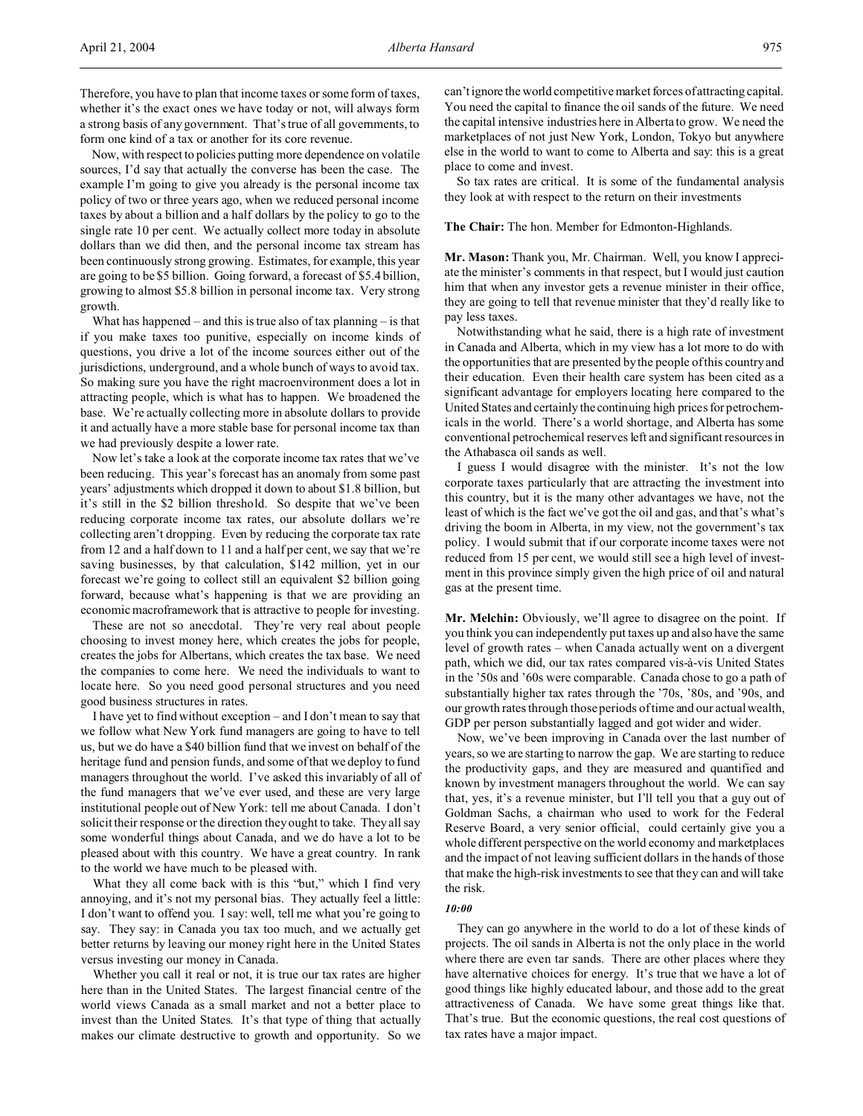Therefore, you have to plan that income taxes or some form of taxes, whether it's the exact ones we have today or not, will always form a strong basis of any government. That's true of all governments, to form one kind of a tax or another for its core revenue.

Now, with respect to policies putting more dependence on volatile sources, I'd say that actually the converse has been the case. The example I'm going to give you already is the personal income tax policy of two or three years ago, when we reduced personal income taxes by about a billion and a half dollars by the policy to go to the single rate 10 per cent. We actually collect more today in absolute dollars than we did then, and the personal income tax stream has been continuously strong growing. Estimates, for example, this year are going to be \$5 billion. Going forward, a forecast of \$5.4 billion, growing to almost \$5.8 billion in personal income tax. Very strong growth.

What has happened – and this is true also of tax planning – is that if you make taxes too punitive, especially on income kinds of questions, you drive a lot of the income sources either out of the jurisdictions, underground, and a whole bunch of ways to avoid tax. So making sure you have the right macroenvironment does a lot in attracting people, which is what has to happen. We broadened the base. We're actually collecting more in absolute dollars to provide it and actually have a more stable base for personal income tax than we had previously despite a lower rate.

Now let's take a look at the corporate income tax rates that we've been reducing. This year's forecast has an anomaly from some past years' adjustments which dropped it down to about \$1.8 billion, but it's still in the \$2 billion threshold. So despite that we've been reducing corporate income tax rates, our absolute dollars we're collecting aren't dropping. Even by reducing the corporate tax rate from 12 and a half down to 11 and a half per cent, we say that we're saving businesses, by that calculation, \$142 million, yet in our forecast we're going to collect still an equivalent \$2 billion going forward, because what's happening is that we are providing an economic macroframework that is attractive to people for investing.

These are not so anecdotal. They're very real about people choosing to invest money here, which creates the jobs for people, creates the jobs for Albertans, which creates the tax base. We need the companies to come here. We need the individuals to want to locate here. So you need good personal structures and you need good business structures in rates.

I have yet to find without exception – and I don't mean to say that we follow what New York fund managers are going to have to tell us, but we do have a \$40 billion fund that we invest on behalf of the heritage fund and pension funds, and some of that we deploy to fund managers throughout the world. I've asked this invariably of all of the fund managers that we've ever used, and these are very large institutional people out of New York: tell me about Canada. I don't solicit their response or the direction they ought to take. They all say some wonderful things about Canada, and we do have a lot to be pleased about with this country. We have a great country. In rank to the world we have much to be pleased with.

What they all come back with is this "but," which I find very annoying, and it's not my personal bias. They actually feel a little: I don't want to offend you. I say: well, tell me what you're going to say. They say: in Canada you tax too much, and we actually get better returns by leaving our money right here in the United States versus investing our money in Canada.

Whether you call it real or not, it is true our tax rates are higher here than in the United States. The largest financial centre of the world views Canada as a small market and not a better place to invest than the United States. It's that type of thing that actually makes our climate destructive to growth and opportunity. So we can'tignore the world competitive market forces of attracting capital. You need the capital to finance the oil sands of the future. We need the capital intensive industries here in Alberta to grow. We need the marketplaces of not just New York, London, Tokyo but anywhere else in the world to want to come to Alberta and say: this is a great place to come and invest.

So tax rates are critical. It is some of the fundamental analysis they look at with respect to the return on their investments

# **The Chair:** The hon. Member for Edmonton-Highlands.

**Mr. Mason:** Thank you, Mr. Chairman. Well, you know I appreciate the minister's comments in that respect, but I would just caution him that when any investor gets a revenue minister in their office, they are going to tell that revenue minister that they'd really like to pay less taxes.

Notwithstanding what he said, there is a high rate of investment in Canada and Alberta, which in my view has a lot more to do with the opportunities that are presented by the people of this country and their education. Even their health care system has been cited as a significant advantage for employers locating here compared to the United States and certainly the continuing high prices for petrochemicals in the world. There's a world shortage, and Alberta has some conventional petrochemical reserves left and significant resources in the Athabasca oil sands as well.

I guess I would disagree with the minister. It's not the low corporate taxes particularly that are attracting the investment into this country, but it is the many other advantages we have, not the least of which is the fact we've got the oil and gas, and that's what's driving the boom in Alberta, in my view, not the government's tax policy. I would submit that if our corporate income taxes were not reduced from 15 per cent, we would still see a high level of investment in this province simply given the high price of oil and natural gas at the present time.

**Mr. Melchin:** Obviously, we'll agree to disagree on the point. If you think you can independently put taxes up and also have the same level of growth rates – when Canada actually went on a divergent path, which we did, our tax rates compared vis-à-vis United States in the '50s and '60s were comparable. Canada chose to go a path of substantially higher tax rates through the '70s, '80s, and '90s, and our growth rates through those periods of time and our actual wealth, GDP per person substantially lagged and got wider and wider.

Now, we've been improving in Canada over the last number of years, so we are starting to narrow the gap. We are starting to reduce the productivity gaps, and they are measured and quantified and known by investment managers throughout the world. We can say that, yes, it's a revenue minister, but I'll tell you that a guy out of Goldman Sachs, a chairman who used to work for the Federal Reserve Board, a very senior official, could certainly give you a whole different perspective on the world economy and marketplaces and the impact of not leaving sufficient dollars in the hands of those that make the high-risk investments to see that they can and will take the risk.

# *10:00*

They can go anywhere in the world to do a lot of these kinds of projects. The oil sands in Alberta is not the only place in the world where there are even tar sands. There are other places where they have alternative choices for energy. It's true that we have a lot of good things like highly educated labour, and those add to the great attractiveness of Canada. We have some great things like that. That's true. But the economic questions, the real cost questions of tax rates have a major impact.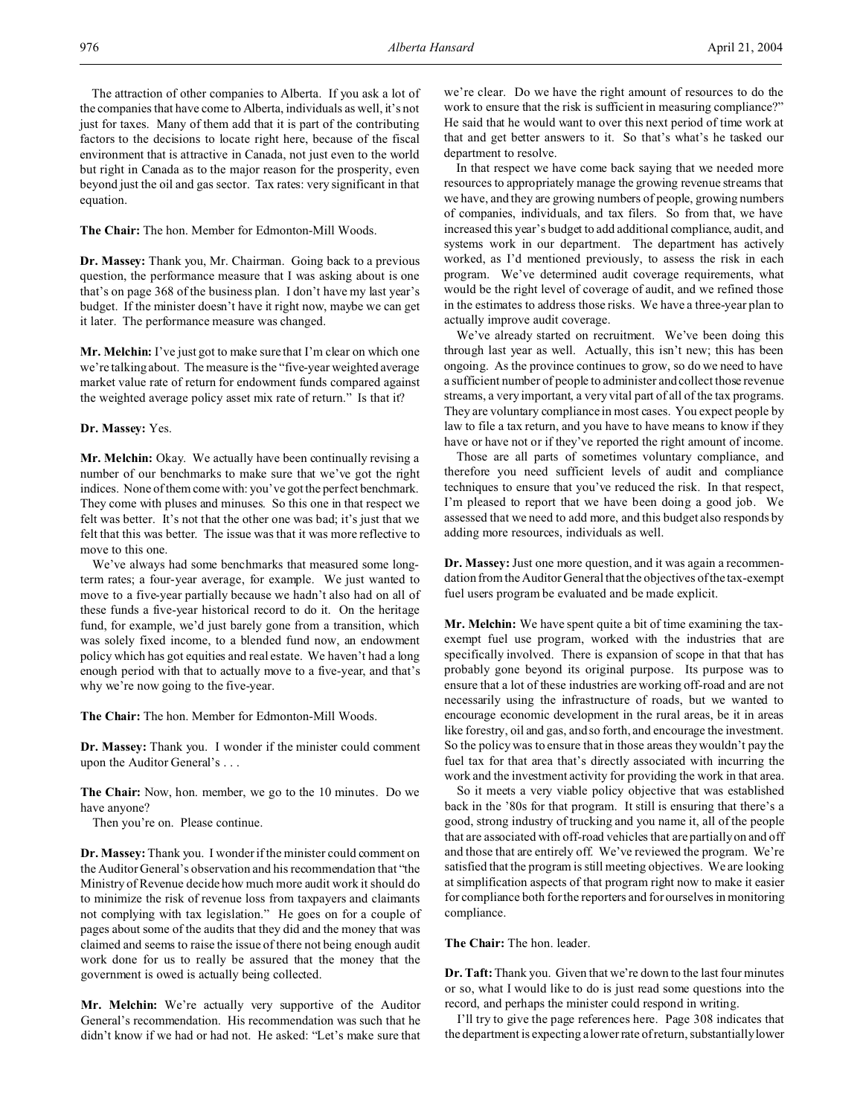The attraction of other companies to Alberta. If you ask a lot of the companies that have come to Alberta, individuals as well, it's not just for taxes. Many of them add that it is part of the contributing factors to the decisions to locate right here, because of the fiscal environment that is attractive in Canada, not just even to the world but right in Canada as to the major reason for the prosperity, even beyond just the oil and gas sector. Tax rates: very significant in that equation.

**The Chair:** The hon. Member for Edmonton-Mill Woods.

**Dr. Massey:** Thank you, Mr. Chairman. Going back to a previous question, the performance measure that I was asking about is one that's on page 368 of the business plan. I don't have my last year's budget. If the minister doesn't have it right now, maybe we can get it later. The performance measure was changed.

**Mr. Melchin:** I've just got to make sure that I'm clear on which one we're talking about. The measure is the "five-year weighted average market value rate of return for endowment funds compared against the weighted average policy asset mix rate of return." Is that it?

# **Dr. Massey:** Yes.

**Mr. Melchin:** Okay. We actually have been continually revising a number of our benchmarks to make sure that we've got the right indices. None of them come with: you've got the perfect benchmark. They come with pluses and minuses. So this one in that respect we felt was better. It's not that the other one was bad; it's just that we felt that this was better. The issue was that it was more reflective to move to this one.

We've always had some benchmarks that measured some longterm rates; a four-year average, for example. We just wanted to move to a five-year partially because we hadn't also had on all of these funds a five-year historical record to do it. On the heritage fund, for example, we'd just barely gone from a transition, which was solely fixed income, to a blended fund now, an endowment policy which has got equities and real estate. We haven't had a long enough period with that to actually move to a five-year, and that's why we're now going to the five-year.

**The Chair:** The hon. Member for Edmonton-Mill Woods.

**Dr. Massey:** Thank you. I wonder if the minister could comment upon the Auditor General's . . .

**The Chair:** Now, hon. member, we go to the 10 minutes. Do we have anyone?

Then you're on. Please continue.

**Dr. Massey:** Thank you. I wonder if the minister could comment on the Auditor General's observation and his recommendation that "the Ministry of Revenue decide how much more audit work it should do to minimize the risk of revenue loss from taxpayers and claimants not complying with tax legislation." He goes on for a couple of pages about some of the audits that they did and the money that was claimed and seems to raise the issue of there not being enough audit work done for us to really be assured that the money that the government is owed is actually being collected.

**Mr. Melchin:** We're actually very supportive of the Auditor General's recommendation. His recommendation was such that he didn't know if we had or had not. He asked: "Let's make sure that

we're clear. Do we have the right amount of resources to do the work to ensure that the risk is sufficient in measuring compliance?" He said that he would want to over this next period of time work at that and get better answers to it. So that's what's he tasked our department to resolve.

In that respect we have come back saying that we needed more resources to appropriately manage the growing revenue streams that we have, and they are growing numbers of people, growing numbers of companies, individuals, and tax filers. So from that, we have increased this year's budget to add additional compliance, audit, and systems work in our department. The department has actively worked, as I'd mentioned previously, to assess the risk in each program. We've determined audit coverage requirements, what would be the right level of coverage of audit, and we refined those in the estimates to address those risks. We have a three-year plan to actually improve audit coverage.

We've already started on recruitment. We've been doing this through last year as well. Actually, this isn't new; this has been ongoing. As the province continues to grow, so do we need to have a sufficient number of people to administer and collect those revenue streams, a very important, a very vital part of all of the tax programs. They are voluntary compliance in most cases. You expect people by law to file a tax return, and you have to have means to know if they have or have not or if they've reported the right amount of income.

Those are all parts of sometimes voluntary compliance, and therefore you need sufficient levels of audit and compliance techniques to ensure that you've reduced the risk. In that respect, I'm pleased to report that we have been doing a good job. We assessed that we need to add more, and this budget also responds by adding more resources, individuals as well.

**Dr. Massey:** Just one more question, and it was again a recommendation from the Auditor General that the objectives of the tax-exempt fuel users program be evaluated and be made explicit.

**Mr. Melchin:** We have spent quite a bit of time examining the taxexempt fuel use program, worked with the industries that are specifically involved. There is expansion of scope in that that has probably gone beyond its original purpose. Its purpose was to ensure that a lot of these industries are working off-road and are not necessarily using the infrastructure of roads, but we wanted to encourage economic development in the rural areas, be it in areas like forestry, oil and gas, and so forth, and encourage the investment. So the policy was to ensure that in those areas they wouldn't pay the fuel tax for that area that's directly associated with incurring the work and the investment activity for providing the work in that area.

So it meets a very viable policy objective that was established back in the '80s for that program. It still is ensuring that there's a good, strong industry of trucking and you name it, all of the people that are associated with off-road vehicles that are partially on and off and those that are entirely off. We've reviewed the program. We're satisfied that the program is still meeting objectives. We are looking at simplification aspects of that program right now to make it easier for compliance both for the reporters and for ourselves in monitoring compliance.

**The Chair:** The hon. leader.

**Dr. Taft:** Thank you. Given that we're down to the last four minutes or so, what I would like to do is just read some questions into the record, and perhaps the minister could respond in writing.

I'll try to give the page references here. Page 308 indicates that the department is expecting a lower rate of return, substantially lower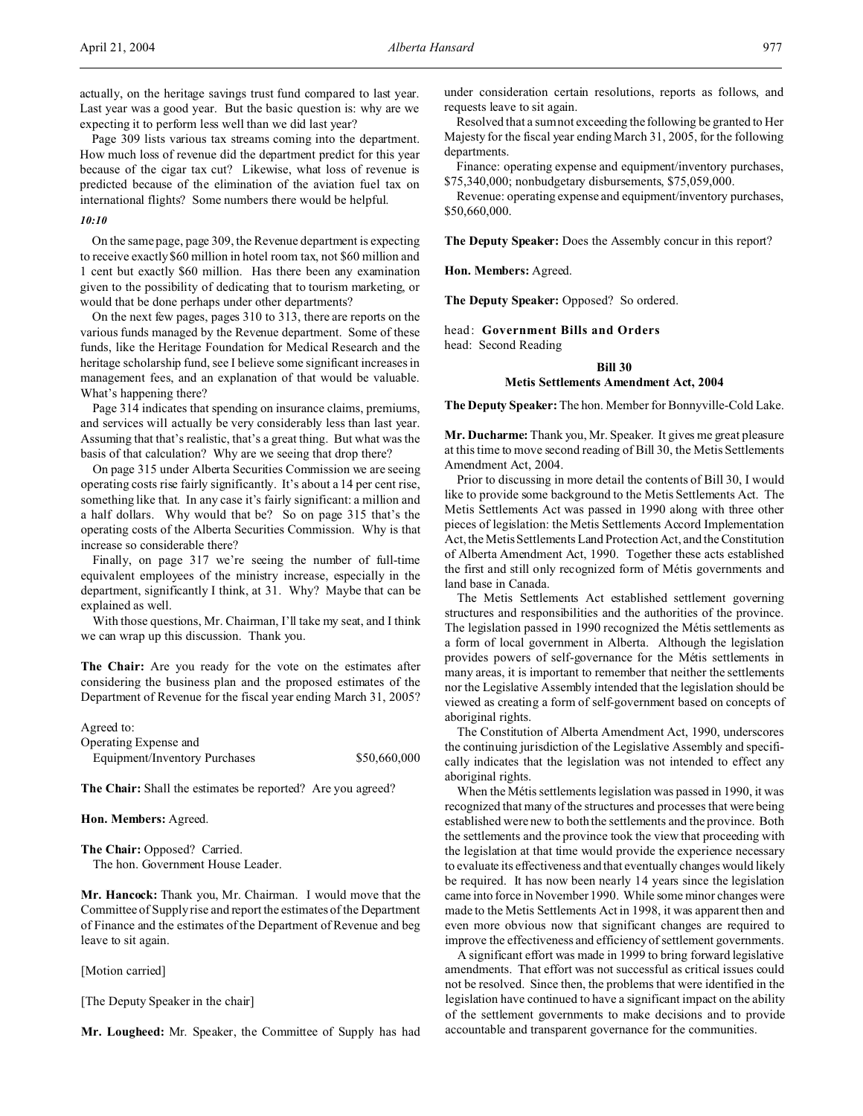Page 309 lists various tax streams coming into the department. How much loss of revenue did the department predict for this year because of the cigar tax cut? Likewise, what loss of revenue is predicted because of the elimination of the aviation fuel tax on international flights? Some numbers there would be helpful.

# *10:10*

On the same page, page 309, the Revenue department is expecting to receive exactly \$60 million in hotel room tax, not \$60 million and 1 cent but exactly \$60 million. Has there been any examination given to the possibility of dedicating that to tourism marketing, or would that be done perhaps under other departments?

On the next few pages, pages 310 to 313, there are reports on the various funds managed by the Revenue department. Some of these funds, like the Heritage Foundation for Medical Research and the heritage scholarship fund, see I believe some significant increases in management fees, and an explanation of that would be valuable. What's happening there?

Page 314 indicates that spending on insurance claims, premiums, and services will actually be very considerably less than last year. Assuming that that's realistic, that's a great thing. But what was the basis of that calculation? Why are we seeing that drop there?

On page 315 under Alberta Securities Commission we are seeing operating costs rise fairly significantly. It's about a 14 per cent rise, something like that. In any case it's fairly significant: a million and a half dollars. Why would that be? So on page 315 that's the operating costs of the Alberta Securities Commission. Why is that increase so considerable there?

Finally, on page 317 we're seeing the number of full-time equivalent employees of the ministry increase, especially in the department, significantly I think, at 31. Why? Maybe that can be explained as well.

With those questions, Mr. Chairman, I'll take my seat, and I think we can wrap up this discussion. Thank you.

**The Chair:** Are you ready for the vote on the estimates after considering the business plan and the proposed estimates of the Department of Revenue for the fiscal year ending March 31, 2005?

Agreed to: Operating Expense and Equipment/Inventory Purchases \$50,660,000

**The Chair:** Shall the estimates be reported? Are you agreed?

# **Hon. Members:** Agreed.

**The Chair:** Opposed? Carried. The hon. Government House Leader.

**Mr. Hancock:** Thank you, Mr. Chairman. I would move that the Committee of Supply rise and report the estimates of the Department of Finance and the estimates of the Department of Revenue and beg leave to sit again.

[Motion carried]

[The Deputy Speaker in the chair]

**Mr. Lougheed:** Mr. Speaker, the Committee of Supply has had

under consideration certain resolutions, reports as follows, and requests leave to sit again.

Resolved that a sum not exceeding the following be granted to Her Majesty for the fiscal year ending March 31, 2005, for the following departments.

Finance: operating expense and equipment/inventory purchases, \$75,340,000; nonbudgetary disbursements, \$75,059,000.

Revenue: operating expense and equipment/inventory purchases, \$50,660,000.

**The Deputy Speaker:** Does the Assembly concur in this report?

**Hon. Members:** Agreed.

**The Deputy Speaker:** Opposed? So ordered.

head: **Government Bills and Orders** head: Second Reading

#### **Bill 30**

#### **Metis Settlements Amendment Act, 2004**

**The Deputy Speaker:** The hon. Member for Bonnyville-Cold Lake.

**Mr. Ducharme:** Thank you, Mr. Speaker. It gives me great pleasure at this time to move second reading of Bill 30, the Metis Settlements Amendment Act, 2004.

Prior to discussing in more detail the contents of Bill 30, I would like to provide some background to the Metis Settlements Act. The Metis Settlements Act was passed in 1990 along with three other pieces of legislation: the Metis Settlements Accord Implementation Act, the Metis Settlements Land Protection Act, and the Constitution of Alberta Amendment Act, 1990. Together these acts established the first and still only recognized form of Métis governments and land base in Canada.

The Metis Settlements Act established settlement governing structures and responsibilities and the authorities of the province. The legislation passed in 1990 recognized the Métis settlements as a form of local government in Alberta. Although the legislation provides powers of self-governance for the Métis settlements in many areas, it is important to remember that neither the settlements nor the Legislative Assembly intended that the legislation should be viewed as creating a form of self-government based on concepts of aboriginal rights.

The Constitution of Alberta Amendment Act, 1990, underscores the continuing jurisdiction of the Legislative Assembly and specifically indicates that the legislation was not intended to effect any aboriginal rights.

When the Métis settlements legislation was passed in 1990, it was recognized that many of the structures and processes that were being established were new to both the settlements and the province. Both the settlements and the province took the view that proceeding with the legislation at that time would provide the experience necessary to evaluate its effectiveness and that eventually changes would likely be required. It has now been nearly 14 years since the legislation came into force in November 1990. While some minor changes were made to the Metis Settlements Act in 1998, it was apparent then and even more obvious now that significant changes are required to improve the effectiveness and efficiency of settlement governments.

A significant effort was made in 1999 to bring forward legislative amendments. That effort was not successful as critical issues could not be resolved. Since then, the problems that were identified in the legislation have continued to have a significant impact on the ability of the settlement governments to make decisions and to provide accountable and transparent governance for the communities.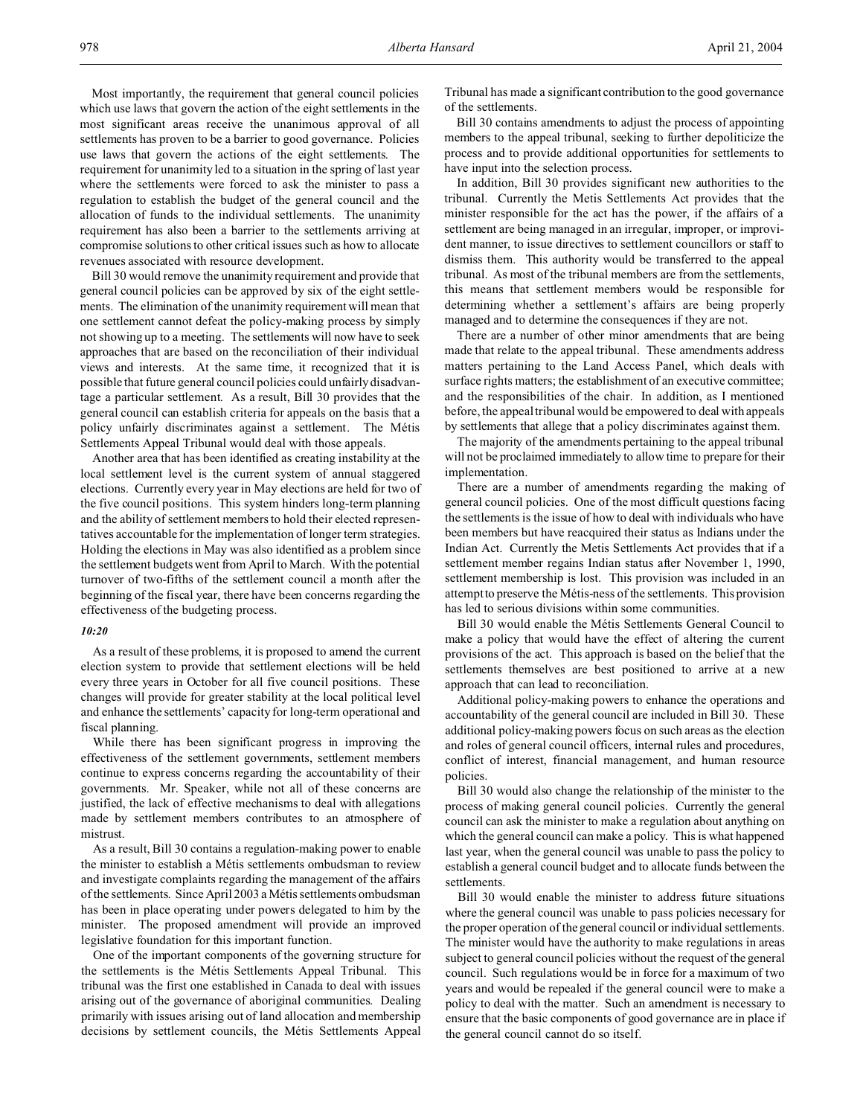Most importantly, the requirement that general council policies which use laws that govern the action of the eight settlements in the most significant areas receive the unanimous approval of all settlements has proven to be a barrier to good governance. Policies use laws that govern the actions of the eight settlements. The requirement for unanimity led to a situation in the spring of last year where the settlements were forced to ask the minister to pass a regulation to establish the budget of the general council and the allocation of funds to the individual settlements. The unanimity requirement has also been a barrier to the settlements arriving at compromise solutions to other critical issues such as how to allocate revenues associated with resource development.

Bill 30 would remove the unanimity requirement and provide that general council policies can be approved by six of the eight settlements. The elimination of the unanimity requirement will mean that one settlement cannot defeat the policy-making process by simply not showing up to a meeting. The settlements will now have to seek approaches that are based on the reconciliation of their individual views and interests. At the same time, it recognized that it is possible that future general council policies could unfairly disadvantage a particular settlement. As a result, Bill 30 provides that the general council can establish criteria for appeals on the basis that a policy unfairly discriminates against a settlement. The Métis Settlements Appeal Tribunal would deal with those appeals.

Another area that has been identified as creating instability at the local settlement level is the current system of annual staggered elections. Currently every year in May elections are held for two of the five council positions. This system hinders long-term planning and the ability of settlement members to hold their elected representatives accountable for the implementation of longer term strategies. Holding the elections in May was also identified as a problem since the settlement budgets went from April to March. With the potential turnover of two-fifths of the settlement council a month after the beginning of the fiscal year, there have been concerns regarding the effectiveness of the budgeting process.

#### *10:20*

As a result of these problems, it is proposed to amend the current election system to provide that settlement elections will be held every three years in October for all five council positions. These changes will provide for greater stability at the local political level and enhance the settlements' capacity for long-term operational and fiscal planning.

While there has been significant progress in improving the effectiveness of the settlement governments, settlement members continue to express concerns regarding the accountability of their governments. Mr. Speaker, while not all of these concerns are justified, the lack of effective mechanisms to deal with allegations made by settlement members contributes to an atmosphere of mistrust.

As a result, Bill 30 contains a regulation-making power to enable the minister to establish a Métis settlements ombudsman to review and investigate complaints regarding the management of the affairs of the settlements. Since April 2003 a Métis settlements ombudsman has been in place operating under powers delegated to him by the minister. The proposed amendment will provide an improved legislative foundation for this important function.

One of the important components of the governing structure for the settlements is the Métis Settlements Appeal Tribunal. This tribunal was the first one established in Canada to deal with issues arising out of the governance of aboriginal communities. Dealing primarily with issues arising out of land allocation and membership decisions by settlement councils, the Métis Settlements Appeal Tribunal has made a significant contribution to the good governance of the settlements.

Bill 30 contains amendments to adjust the process of appointing members to the appeal tribunal, seeking to further depoliticize the process and to provide additional opportunities for settlements to have input into the selection process.

In addition, Bill 30 provides significant new authorities to the tribunal. Currently the Metis Settlements Act provides that the minister responsible for the act has the power, if the affairs of a settlement are being managed in an irregular, improper, or improvident manner, to issue directives to settlement councillors or staff to dismiss them. This authority would be transferred to the appeal tribunal. As most of the tribunal members are from the settlements, this means that settlement members would be responsible for determining whether a settlement's affairs are being properly managed and to determine the consequences if they are not.

There are a number of other minor amendments that are being made that relate to the appeal tribunal. These amendments address matters pertaining to the Land Access Panel, which deals with surface rights matters; the establishment of an executive committee; and the responsibilities of the chair. In addition, as I mentioned before, the appeal tribunal would be empowered to deal with appeals by settlements that allege that a policy discriminates against them.

The majority of the amendments pertaining to the appeal tribunal will not be proclaimed immediately to allow time to prepare for their implementation.

There are a number of amendments regarding the making of general council policies. One of the most difficult questions facing the settlements is the issue of how to deal with individuals who have been members but have reacquired their status as Indians under the Indian Act. Currently the Metis Settlements Act provides that if a settlement member regains Indian status after November 1, 1990, settlement membership is lost. This provision was included in an attempt to preserve the Métis-ness of the settlements. This provision has led to serious divisions within some communities.

Bill 30 would enable the Métis Settlements General Council to make a policy that would have the effect of altering the current provisions of the act. This approach is based on the belief that the settlements themselves are best positioned to arrive at a new approach that can lead to reconciliation.

Additional policy-making powers to enhance the operations and accountability of the general council are included in Bill 30. These additional policy-making powers focus on such areas as the election and roles of general council officers, internal rules and procedures, conflict of interest, financial management, and human resource policies.

Bill 30 would also change the relationship of the minister to the process of making general council policies. Currently the general council can ask the minister to make a regulation about anything on which the general council can make a policy. This is what happened last year, when the general council was unable to pass the policy to establish a general council budget and to allocate funds between the settlements.

Bill 30 would enable the minister to address future situations where the general council was unable to pass policies necessary for the proper operation of the general council or individual settlements. The minister would have the authority to make regulations in areas subject to general council policies without the request of the general council. Such regulations would be in force for a maximum of two years and would be repealed if the general council were to make a policy to deal with the matter. Such an amendment is necessary to ensure that the basic components of good governance are in place if the general council cannot do so itself.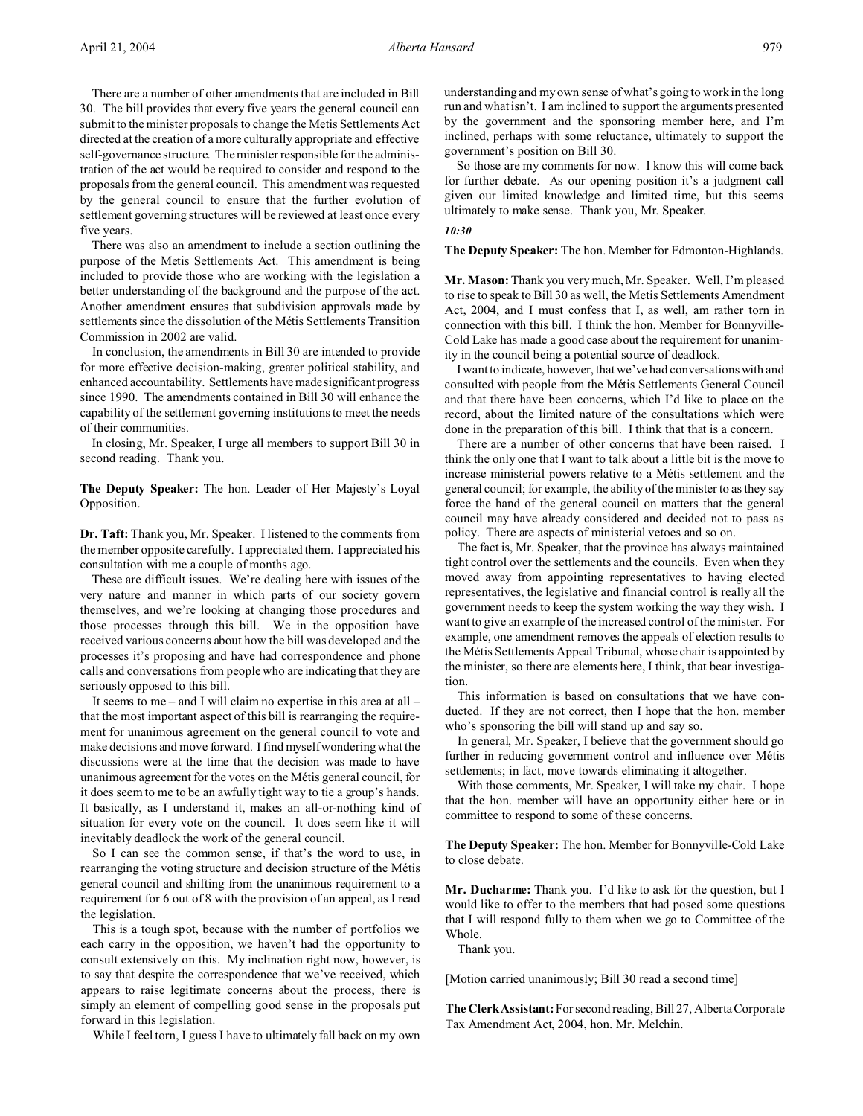There are a number of other amendments that are included in Bill 30. The bill provides that every five years the general council can submit to the minister proposals to change the Metis Settlements Act directed at the creation of a more culturally appropriate and effective self-governance structure. The minister responsible for the administration of the act would be required to consider and respond to the proposals from the general council. This amendment was requested by the general council to ensure that the further evolution of settlement governing structures will be reviewed at least once every five years.

There was also an amendment to include a section outlining the purpose of the Metis Settlements Act. This amendment is being included to provide those who are working with the legislation a better understanding of the background and the purpose of the act. Another amendment ensures that subdivision approvals made by settlements since the dissolution of the Métis Settlements Transition Commission in 2002 are valid.

In conclusion, the amendments in Bill 30 are intended to provide for more effective decision-making, greater political stability, and enhanced accountability. Settlements havemadesignificantprogress since 1990. The amendments contained in Bill 30 will enhance the capability of the settlement governing institutions to meet the needs of their communities.

In closing, Mr. Speaker, I urge all members to support Bill 30 in second reading. Thank you.

**The Deputy Speaker:** The hon. Leader of Her Majesty's Loyal Opposition.

**Dr. Taft:** Thank you, Mr. Speaker. I listened to the comments from the member opposite carefully. I appreciated them. I appreciated his consultation with me a couple of months ago.

These are difficult issues. We're dealing here with issues of the very nature and manner in which parts of our society govern themselves, and we're looking at changing those procedures and those processes through this bill. We in the opposition have received various concerns about how the bill was developed and the processes it's proposing and have had correspondence and phone calls and conversations from people who are indicating that they are seriously opposed to this bill.

It seems to me – and I will claim no expertise in this area at all – that the most important aspect of this bill is rearranging the requirement for unanimous agreement on the general council to vote and make decisions and move forward. I find myself wondering what the discussions were at the time that the decision was made to have unanimous agreement for the votes on the Métis general council, for it does seem to me to be an awfully tight way to tie a group's hands. It basically, as I understand it, makes an all-or-nothing kind of situation for every vote on the council. It does seem like it will inevitably deadlock the work of the general council.

So I can see the common sense, if that's the word to use, in rearranging the voting structure and decision structure of the Métis general council and shifting from the unanimous requirement to a requirement for 6 out of 8 with the provision of an appeal, as I read the legislation.

This is a tough spot, because with the number of portfolios we each carry in the opposition, we haven't had the opportunity to consult extensively on this. My inclination right now, however, is to say that despite the correspondence that we've received, which appears to raise legitimate concerns about the process, there is simply an element of compelling good sense in the proposals put forward in this legislation.

While I feel torn, I guess I have to ultimately fall back on my own

understanding and my own sense of what's going to work in the long run and what isn't. I am inclined to support the arguments presented by the government and the sponsoring member here, and I'm inclined, perhaps with some reluctance, ultimately to support the government's position on Bill 30.

So those are my comments for now. I know this will come back for further debate. As our opening position it's a judgment call given our limited knowledge and limited time, but this seems ultimately to make sense. Thank you, Mr. Speaker.

## *10:30*

**The Deputy Speaker:** The hon. Member for Edmonton-Highlands.

**Mr. Mason:** Thank you very much, Mr. Speaker. Well, I'm pleased to rise to speak to Bill 30 as well, the Metis Settlements Amendment Act, 2004, and I must confess that I, as well, am rather torn in connection with this bill. I think the hon. Member for Bonnyville-Cold Lake has made a good case about the requirement for unanimity in the council being a potential source of deadlock.

I want to indicate, however, that we've had conversations with and consulted with people from the Métis Settlements General Council and that there have been concerns, which I'd like to place on the record, about the limited nature of the consultations which were done in the preparation of this bill. I think that that is a concern.

There are a number of other concerns that have been raised. I think the only one that I want to talk about a little bit is the move to increase ministerial powers relative to a Métis settlement and the general council; for example, the ability of the minister to as they say force the hand of the general council on matters that the general council may have already considered and decided not to pass as policy. There are aspects of ministerial vetoes and so on.

The fact is, Mr. Speaker, that the province has always maintained tight control over the settlements and the councils. Even when they moved away from appointing representatives to having elected representatives, the legislative and financial control is really all the government needs to keep the system working the way they wish. I want to give an example of the increased control of the minister. For example, one amendment removes the appeals of election results to the Métis Settlements Appeal Tribunal, whose chair is appointed by the minister, so there are elements here, I think, that bear investigation.

This information is based on consultations that we have conducted. If they are not correct, then I hope that the hon. member who's sponsoring the bill will stand up and say so.

In general, Mr. Speaker, I believe that the government should go further in reducing government control and influence over Métis settlements; in fact, move towards eliminating it altogether.

With those comments, Mr. Speaker, I will take my chair. I hope that the hon. member will have an opportunity either here or in committee to respond to some of these concerns.

**The Deputy Speaker:** The hon. Member for Bonnyville-Cold Lake to close debate.

**Mr. Ducharme:** Thank you. I'd like to ask for the question, but I would like to offer to the members that had posed some questions that I will respond fully to them when we go to Committee of the Whole.

Thank you.

[Motion carried unanimously; Bill 30 read a second time]

The Clerk Assistant: For second reading, Bill 27, Alberta Corporate Tax Amendment Act, 2004, hon. Mr. Melchin.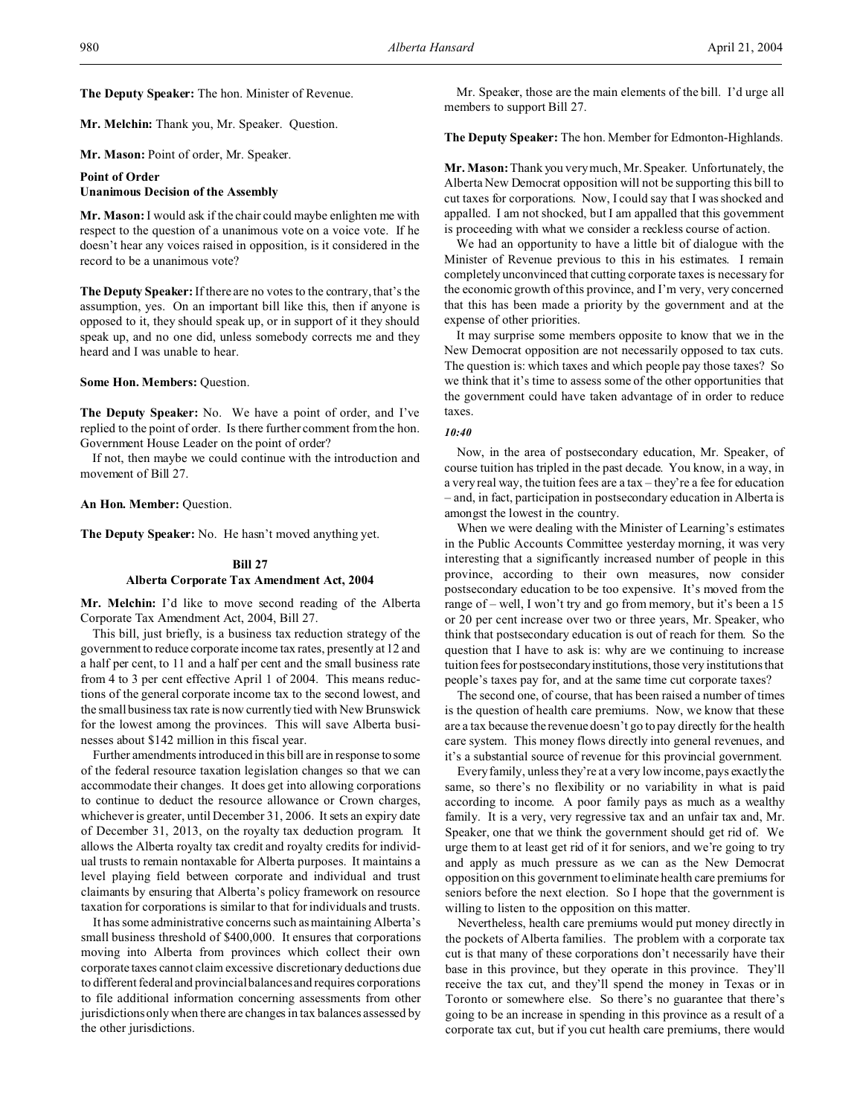**The Deputy Speaker:** The hon. Minister of Revenue.

**Mr. Melchin:** Thank you, Mr. Speaker. Question.

**Mr. Mason:** Point of order, Mr. Speaker.

# **Point of Order**

# **Unanimous Decision of the Assembly**

**Mr. Mason:** I would ask if the chair could maybe enlighten me with respect to the question of a unanimous vote on a voice vote. If he doesn't hear any voices raised in opposition, is it considered in the record to be a unanimous vote?

**The Deputy Speaker:** If there are no votes to the contrary, that's the assumption, yes. On an important bill like this, then if anyone is opposed to it, they should speak up, or in support of it they should speak up, and no one did, unless somebody corrects me and they heard and I was unable to hear.

## **Some Hon. Members:** Question.

**The Deputy Speaker:** No. We have a point of order, and I've replied to the point of order. Is there further comment from the hon. Government House Leader on the point of order?

If not, then maybe we could continue with the introduction and movement of Bill 27.

# **An Hon. Member:** Question.

**The Deputy Speaker:** No. He hasn't moved anything yet.

# **Bill 27 Alberta Corporate Tax Amendment Act, 2004**

**Mr. Melchin:** I'd like to move second reading of the Alberta Corporate Tax Amendment Act, 2004, Bill 27.

This bill, just briefly, is a business tax reduction strategy of the government to reduce corporate income tax rates, presently at 12 and a half per cent, to 11 and a half per cent and the small business rate from 4 to 3 per cent effective April 1 of 2004. This means reductions of the general corporate income tax to the second lowest, and the small business tax rate is now currently tied with New Brunswick for the lowest among the provinces. This will save Alberta businesses about \$142 million in this fiscal year.

Further amendments introduced in this bill are in response to some of the federal resource taxation legislation changes so that we can accommodate their changes. It does get into allowing corporations to continue to deduct the resource allowance or Crown charges, whichever is greater, until December 31, 2006. It sets an expiry date of December 31, 2013, on the royalty tax deduction program. It allows the Alberta royalty tax credit and royalty credits for individual trusts to remain nontaxable for Alberta purposes. It maintains a level playing field between corporate and individual and trust claimants by ensuring that Alberta's policy framework on resource taxation for corporations is similar to that for individuals and trusts.

It has some administrative concerns such as maintaining Alberta's small business threshold of \$400,000. It ensures that corporations moving into Alberta from provinces which collect their own corporate taxes cannot claim excessive discretionary deductions due to different federal and provincial balances and requires corporations to file additional information concerning assessments from other jurisdictions only when there are changes in tax balances assessed by the other jurisdictions.

Mr. Speaker, those are the main elements of the bill. I'd urge all members to support Bill 27.

**The Deputy Speaker:** The hon. Member for Edmonton-Highlands.

**Mr. Mason:** Thank you very much, Mr. Speaker. Unfortunately, the Alberta New Democrat opposition will not be supporting this bill to cut taxes for corporations. Now, I could say that I was shocked and appalled. I am not shocked, but I am appalled that this government is proceeding with what we consider a reckless course of action.

We had an opportunity to have a little bit of dialogue with the Minister of Revenue previous to this in his estimates. I remain completely unconvinced that cutting corporate taxes is necessary for the economic growth of this province, and I'm very, very concerned that this has been made a priority by the government and at the expense of other priorities.

It may surprise some members opposite to know that we in the New Democrat opposition are not necessarily opposed to tax cuts. The question is: which taxes and which people pay those taxes? So we think that it's time to assess some of the other opportunities that the government could have taken advantage of in order to reduce taxes.

#### *10:40*

Now, in the area of postsecondary education, Mr. Speaker, of course tuition has tripled in the past decade. You know, in a way, in a very real way, the tuition fees are a tax – they're a fee for education – and, in fact, participation in postsecondary education in Alberta is amongst the lowest in the country.

When we were dealing with the Minister of Learning's estimates in the Public Accounts Committee yesterday morning, it was very interesting that a significantly increased number of people in this province, according to their own measures, now consider postsecondary education to be too expensive. It's moved from the range of – well, I won't try and go from memory, but it's been a 15 or 20 per cent increase over two or three years, Mr. Speaker, who think that postsecondary education is out of reach for them. So the question that I have to ask is: why are we continuing to increase tuition fees for postsecondaryinstitutions, those very institutions that people's taxes pay for, and at the same time cut corporate taxes?

The second one, of course, that has been raised a number of times is the question of health care premiums. Now, we know that these are a tax because the revenue doesn't go to pay directly for the health care system. This money flows directly into general revenues, and it's a substantial source of revenue for this provincial government.

Every family, unless they're at a very low income, pays exactly the same, so there's no flexibility or no variability in what is paid according to income. A poor family pays as much as a wealthy family. It is a very, very regressive tax and an unfair tax and, Mr. Speaker, one that we think the government should get rid of. We urge them to at least get rid of it for seniors, and we're going to try and apply as much pressure as we can as the New Democrat opposition on this government to eliminate health care premiums for seniors before the next election. So I hope that the government is willing to listen to the opposition on this matter.

Nevertheless, health care premiums would put money directly in the pockets of Alberta families. The problem with a corporate tax cut is that many of these corporations don't necessarily have their base in this province, but they operate in this province. They'll receive the tax cut, and they'll spend the money in Texas or in Toronto or somewhere else. So there's no guarantee that there's going to be an increase in spending in this province as a result of a corporate tax cut, but if you cut health care premiums, there would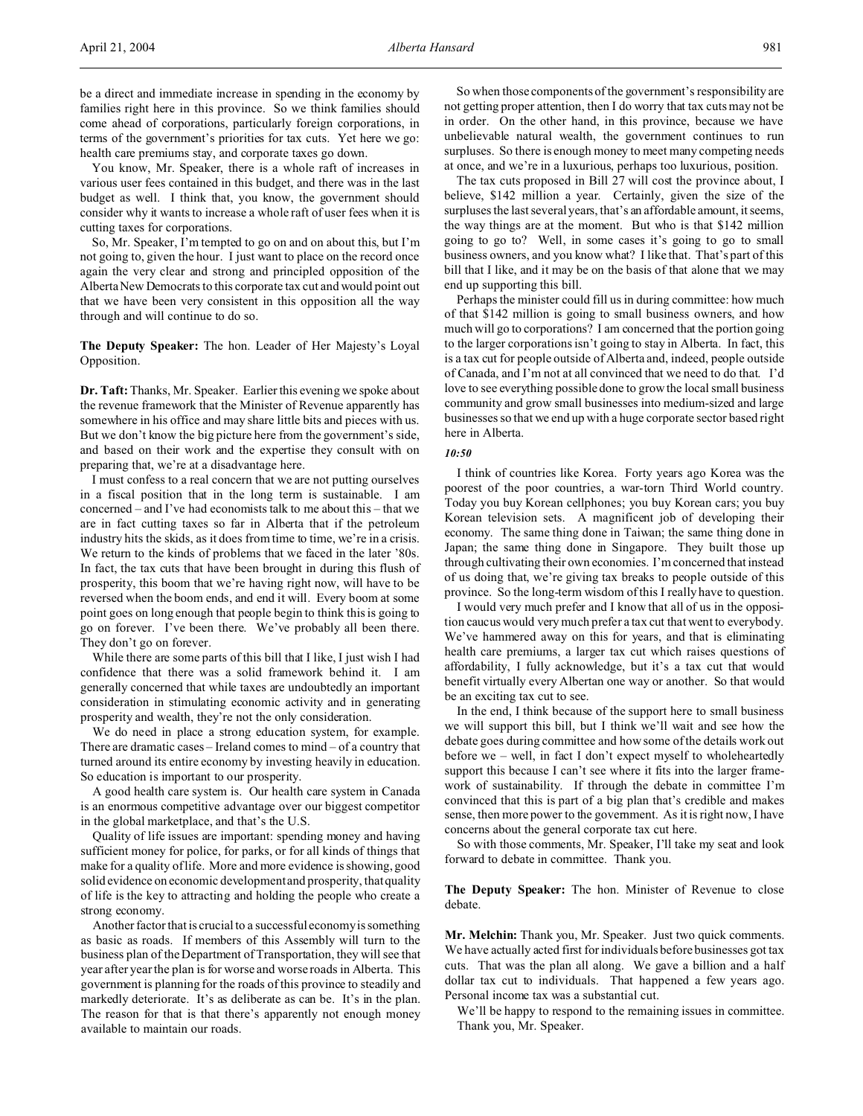You know, Mr. Speaker, there is a whole raft of increases in various user fees contained in this budget, and there was in the last budget as well. I think that, you know, the government should consider why it wants to increase a whole raft of user fees when it is cutting taxes for corporations.

So, Mr. Speaker, I'm tempted to go on and on about this, but I'm not going to, given the hour. I just want to place on the record once again the very clear and strong and principled opposition of the Alberta New Democrats to this corporate tax cut and would point out that we have been very consistent in this opposition all the way through and will continue to do so.

**The Deputy Speaker:** The hon. Leader of Her Majesty's Loyal Opposition.

**Dr. Taft:** Thanks, Mr. Speaker. Earlier this evening we spoke about the revenue framework that the Minister of Revenue apparently has somewhere in his office and may share little bits and pieces with us. But we don't know the big picture here from the government's side, and based on their work and the expertise they consult with on preparing that, we're at a disadvantage here.

I must confess to a real concern that we are not putting ourselves in a fiscal position that in the long term is sustainable. I am concerned – and I've had economists talk to me about this – that we are in fact cutting taxes so far in Alberta that if the petroleum industry hits the skids, as it does from time to time, we're in a crisis. We return to the kinds of problems that we faced in the later '80s. In fact, the tax cuts that have been brought in during this flush of prosperity, this boom that we're having right now, will have to be reversed when the boom ends, and end it will. Every boom at some point goes on long enough that people begin to think this is going to go on forever. I've been there. We've probably all been there. They don't go on forever.

While there are some parts of this bill that I like, I just wish I had confidence that there was a solid framework behind it. I am generally concerned that while taxes are undoubtedly an important consideration in stimulating economic activity and in generating prosperity and wealth, they're not the only consideration.

We do need in place a strong education system, for example. There are dramatic cases – Ireland comes to mind – of a country that turned around its entire economy by investing heavily in education. So education is important to our prosperity.

A good health care system is. Our health care system in Canada is an enormous competitive advantage over our biggest competitor in the global marketplace, and that's the U.S.

Quality of life issues are important: spending money and having sufficient money for police, for parks, or for all kinds of things that make for a quality of life. More and more evidence is showing, good solid evidence on economic development and prosperity, that quality of life is the key to attracting and holding the people who create a strong economy.

Another factor that is crucial to a successful economy is something as basic as roads. If members of this Assembly will turn to the business plan of the Department of Transportation, they will see that year after year the plan is for worse and worse roads in Alberta. This government is planning for the roads of this province to steadily and markedly deteriorate. It's as deliberate as can be. It's in the plan. The reason for that is that there's apparently not enough money available to maintain our roads.

So when those components of the government's responsibility are not getting proper attention, then I do worry that tax cuts may not be in order. On the other hand, in this province, because we have unbelievable natural wealth, the government continues to run surpluses. So there is enough money to meet many competing needs at once, and we're in a luxurious, perhaps too luxurious, position.

The tax cuts proposed in Bill 27 will cost the province about, I believe, \$142 million a year. Certainly, given the size of the surpluses the last several years, that's an affordable amount, it seems, the way things are at the moment. But who is that \$142 million going to go to? Well, in some cases it's going to go to small business owners, and you know what? I like that. That's part of this bill that I like, and it may be on the basis of that alone that we may end up supporting this bill.

Perhaps the minister could fill us in during committee: how much of that \$142 million is going to small business owners, and how much will go to corporations? I am concerned that the portion going to the larger corporations isn't going to stay in Alberta. In fact, this is a tax cut for people outside of Alberta and, indeed, people outside of Canada, and I'm not at all convinced that we need to do that. I'd love to see everything possible done to grow the local small business community and grow small businesses into medium-sized and large businesses so that we end up with a huge corporate sector based right here in Alberta.

#### *10:50*

I think of countries like Korea. Forty years ago Korea was the poorest of the poor countries, a war-torn Third World country. Today you buy Korean cellphones; you buy Korean cars; you buy Korean television sets. A magnificent job of developing their economy. The same thing done in Taiwan; the same thing done in Japan; the same thing done in Singapore. They built those up through cultivating their own economies. I'm concerned that instead of us doing that, we're giving tax breaks to people outside of this province. So the long-term wisdom of this I really have to question.

I would very much prefer and I know that all of us in the opposition caucus would very much prefer a tax cut that went to everybody. We've hammered away on this for years, and that is eliminating health care premiums, a larger tax cut which raises questions of affordability, I fully acknowledge, but it's a tax cut that would benefit virtually every Albertan one way or another. So that would be an exciting tax cut to see.

In the end, I think because of the support here to small business we will support this bill, but I think we'll wait and see how the debate goes during committee and how some of the details work out before we – well, in fact I don't expect myself to wholeheartedly support this because I can't see where it fits into the larger framework of sustainability. If through the debate in committee I'm convinced that this is part of a big plan that's credible and makes sense, then more power to the government. As it is right now, I have concerns about the general corporate tax cut here.

So with those comments, Mr. Speaker, I'll take my seat and look forward to debate in committee. Thank you.

**The Deputy Speaker:** The hon. Minister of Revenue to close debate.

**Mr. Melchin:** Thank you, Mr. Speaker. Just two quick comments. We have actually acted first for individuals before businesses got tax cuts. That was the plan all along. We gave a billion and a half dollar tax cut to individuals. That happened a few years ago. Personal income tax was a substantial cut.

We'll be happy to respond to the remaining issues in committee. Thank you, Mr. Speaker.